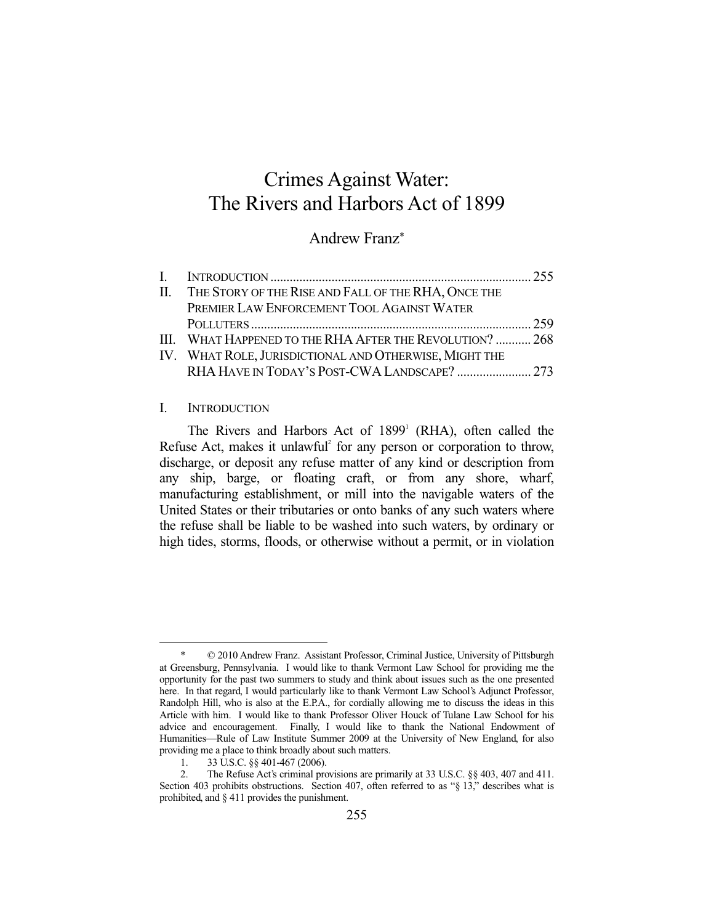# Crimes Against Water: The Rivers and Harbors Act of 1899

## Andrew Franz\*

| II. THE STORY OF THE RISE AND FALL OF THE RHA, ONCE THE  |  |
|----------------------------------------------------------|--|
| PREMIER LAW ENFORCEMENT TOOL AGAINST WATER               |  |
|                                                          |  |
| III. WHAT HAPPENED TO THE RHA AFTER THE REVOLUTION?  268 |  |
| IV. WHAT ROLE, JURISDICTIONAL AND OTHERWISE, MIGHT THE   |  |
| RHA HAVE IN TODAY'S POST-CWA LANDSCAPE?  273             |  |

#### I. INTRODUCTION

The Rivers and Harbors Act of  $1899<sup>1</sup>$  (RHA), often called the Refuse Act, makes it unlawful<sup>2</sup> for any person or corporation to throw, discharge, or deposit any refuse matter of any kind or description from any ship, barge, or floating craft, or from any shore, wharf, manufacturing establishment, or mill into the navigable waters of the United States or their tributaries or onto banks of any such waters where the refuse shall be liable to be washed into such waters, by ordinary or high tides, storms, floods, or otherwise without a permit, or in violation

<sup>-</sup> $© 2010$  Andrew Franz. Assistant Professor, Criminal Justice, University of Pittsburgh at Greensburg, Pennsylvania. I would like to thank Vermont Law School for providing me the opportunity for the past two summers to study and think about issues such as the one presented here. In that regard, I would particularly like to thank Vermont Law School's Adjunct Professor, Randolph Hill, who is also at the E.P.A., for cordially allowing me to discuss the ideas in this Article with him. I would like to thank Professor Oliver Houck of Tulane Law School for his advice and encouragement. Finally, I would like to thank the National Endowment of Humanities—Rule of Law Institute Summer 2009 at the University of New England, for also providing me a place to think broadly about such matters.

 <sup>1. 33</sup> U.S.C. §§ 401-467 (2006).

 <sup>2.</sup> The Refuse Act's criminal provisions are primarily at 33 U.S.C. §§ 403, 407 and 411. Section 403 prohibits obstructions. Section 407, often referred to as "§ 13," describes what is prohibited, and § 411 provides the punishment.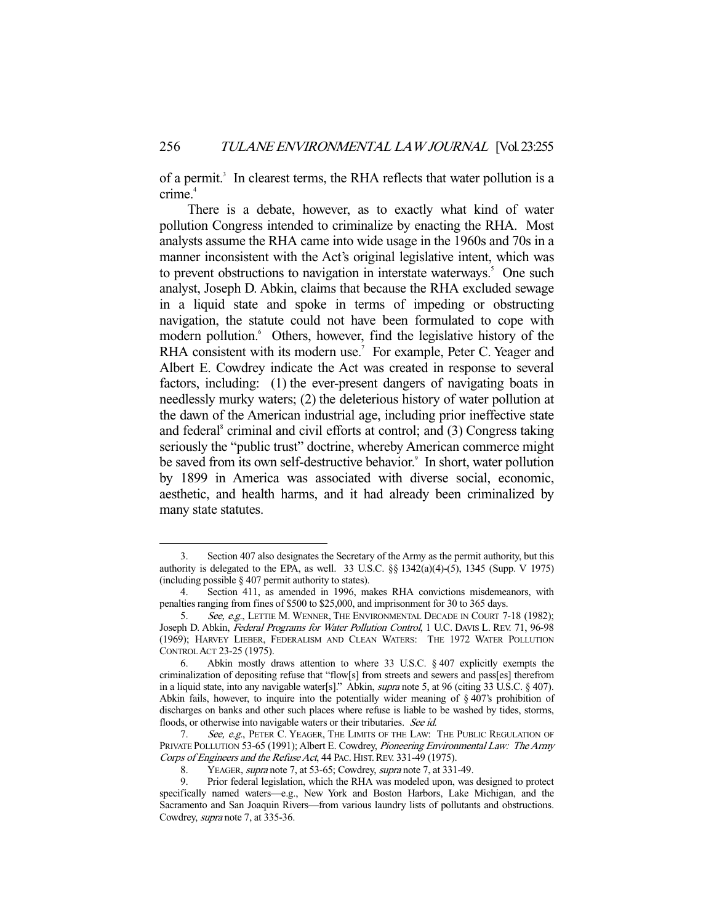of a permit.<sup>3</sup> In clearest terms, the RHA reflects that water pollution is a crime.<sup>4</sup>

 There is a debate, however, as to exactly what kind of water pollution Congress intended to criminalize by enacting the RHA. Most analysts assume the RHA came into wide usage in the 1960s and 70s in a manner inconsistent with the Act's original legislative intent, which was to prevent obstructions to navigation in interstate waterways.<sup>5</sup> One such analyst, Joseph D. Abkin, claims that because the RHA excluded sewage in a liquid state and spoke in terms of impeding or obstructing navigation, the statute could not have been formulated to cope with modern pollution. <sup>6</sup> Others, however, find the legislative history of the RHA consistent with its modern use.<sup>7</sup> For example, Peter C. Yeager and Albert E. Cowdrey indicate the Act was created in response to several factors, including: (1) the ever-present dangers of navigating boats in needlessly murky waters; (2) the deleterious history of water pollution at the dawn of the American industrial age, including prior ineffective state and federal<sup>8</sup> criminal and civil efforts at control; and (3) Congress taking seriously the "public trust" doctrine, whereby American commerce might be saved from its own self-destructive behavior.<sup>9</sup> In short, water pollution by 1899 in America was associated with diverse social, economic, aesthetic, and health harms, and it had already been criminalized by many state statutes.

 <sup>3.</sup> Section 407 also designates the Secretary of the Army as the permit authority, but this authority is delegated to the EPA, as well. 33 U.S.C.  $\S$  1342(a)(4)-(5), 1345 (Supp. V 1975) (including possible § 407 permit authority to states).

 <sup>4.</sup> Section 411, as amended in 1996, makes RHA convictions misdemeanors, with penalties ranging from fines of \$500 to \$25,000, and imprisonment for 30 to 365 days.

<sup>5.</sup> See, e.g., LETTIE M. WENNER, THE ENVIRONMENTAL DECADE IN COURT 7-18 (1982); Joseph D. Abkin, Federal Programs for Water Pollution Control, 1 U.C. DAVIS L. REV. 71, 96-98 (1969); HARVEY LIEBER, FEDERALISM AND CLEAN WATERS: THE 1972 WATER POLLUTION CONTROL ACT 23-25 (1975).

 <sup>6.</sup> Abkin mostly draws attention to where 33 U.S.C. § 407 explicitly exempts the criminalization of depositing refuse that "flow[s] from streets and sewers and pass[es] therefrom in a liquid state, into any navigable water[s]." Abkin, supra note 5, at 96 (citing 33 U.S.C. § 407). Abkin fails, however, to inquire into the potentially wider meaning of  $\S$  407's prohibition of discharges on banks and other such places where refuse is liable to be washed by tides, storms, floods, or otherwise into navigable waters or their tributaries. See id.

<sup>7.</sup> See, e.g., PETER C. YEAGER, THE LIMITS OF THE LAW: THE PUBLIC REGULATION OF PRIVATE POLLUTION 53-65 (1991); Albert E. Cowdrey, Pioneering Environmental Law: The Army Corps of Engineers and the Refuse Act, 44 PAC. HIST. REV. 331-49 (1975).

<sup>8.</sup> YEAGER, *supra* note 7, at 53-65; Cowdrey, *supra* note 7, at 331-49.

 <sup>9.</sup> Prior federal legislation, which the RHA was modeled upon, was designed to protect specifically named waters—e.g., New York and Boston Harbors, Lake Michigan, and the Sacramento and San Joaquin Rivers—from various laundry lists of pollutants and obstructions. Cowdrey, supra note 7, at 335-36.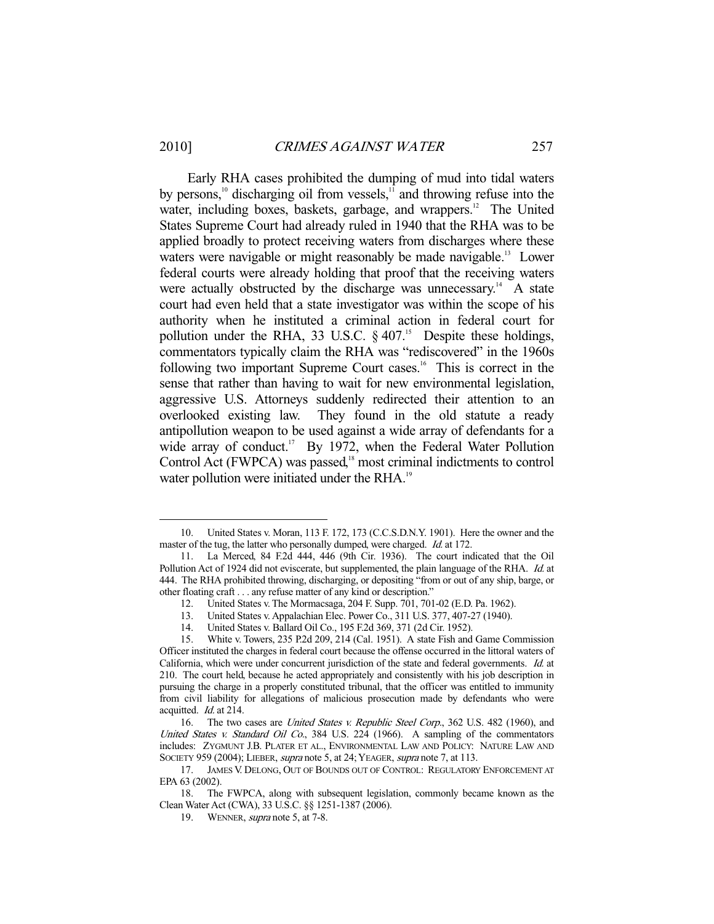-

 Early RHA cases prohibited the dumping of mud into tidal waters by persons,<sup>10</sup> discharging oil from vessels, $1<sup>1</sup>$  and throwing refuse into the water, including boxes, baskets, garbage, and wrappers.<sup>12</sup> The United States Supreme Court had already ruled in 1940 that the RHA was to be applied broadly to protect receiving waters from discharges where these waters were navigable or might reasonably be made navigable.<sup>13</sup> Lower federal courts were already holding that proof that the receiving waters were actually obstructed by the discharge was unnecessary.<sup>14</sup> A state court had even held that a state investigator was within the scope of his authority when he instituted a criminal action in federal court for pollution under the RHA, 33 U.S.C.  $\S$  407.<sup>15</sup> Despite these holdings, commentators typically claim the RHA was "rediscovered" in the 1960s following two important Supreme Court cases.<sup>16</sup> This is correct in the sense that rather than having to wait for new environmental legislation, aggressive U.S. Attorneys suddenly redirected their attention to an overlooked existing law. They found in the old statute a ready antipollution weapon to be used against a wide array of defendants for a wide array of conduct.<sup>17</sup> By 1972, when the Federal Water Pollution Control Act (FWPCA) was passed,<sup>18</sup> most criminal indictments to control water pollution were initiated under the RHA.<sup>19</sup>

 <sup>10.</sup> United States v. Moran, 113 F. 172, 173 (C.C.S.D.N.Y. 1901). Here the owner and the master of the tug, the latter who personally dumped, were charged. Id. at 172.

 <sup>11.</sup> La Merced, 84 F.2d 444, 446 (9th Cir. 1936). The court indicated that the Oil Pollution Act of 1924 did not eviscerate, but supplemented, the plain language of the RHA. Id. at 444. The RHA prohibited throwing, discharging, or depositing "from or out of any ship, barge, or other floating craft . . . any refuse matter of any kind or description."

 <sup>12.</sup> United States v. The Mormacsaga, 204 F. Supp. 701, 701-02 (E.D. Pa. 1962).

 <sup>13.</sup> United States v. Appalachian Elec. Power Co., 311 U.S. 377, 407-27 (1940).

 <sup>14.</sup> United States v. Ballard Oil Co., 195 F.2d 369, 371 (2d Cir. 1952).

 <sup>15.</sup> White v. Towers, 235 P.2d 209, 214 (Cal. 1951). A state Fish and Game Commission Officer instituted the charges in federal court because the offense occurred in the littoral waters of California, which were under concurrent jurisdiction of the state and federal governments. Id. at 210. The court held, because he acted appropriately and consistently with his job description in pursuing the charge in a properly constituted tribunal, that the officer was entitled to immunity from civil liability for allegations of malicious prosecution made by defendants who were acquitted. Id. at 214.

<sup>16.</sup> The two cases are United States v. Republic Steel Corp., 362 U.S. 482 (1960), and United States v. Standard Oil Co., 384 U.S. 224 (1966). A sampling of the commentators includes: ZYGMUNT J.B. PLATER ET AL., ENVIRONMENTAL LAW AND POLICY: NATURE LAW AND SOCIETY 959 (2004); LIEBER, supra note 5, at 24; YEAGER, supra note 7, at 113.

 <sup>17.</sup> JAMES V. DELONG, OUT OF BOUNDS OUT OF CONTROL: REGULATORY ENFORCEMENT AT EPA 63 (2002).

 <sup>18.</sup> The FWPCA, along with subsequent legislation, commonly became known as the Clean Water Act (CWA), 33 U.S.C. §§ 1251-1387 (2006).

<sup>19.</sup> WENNER, *supra* note 5, at 7-8.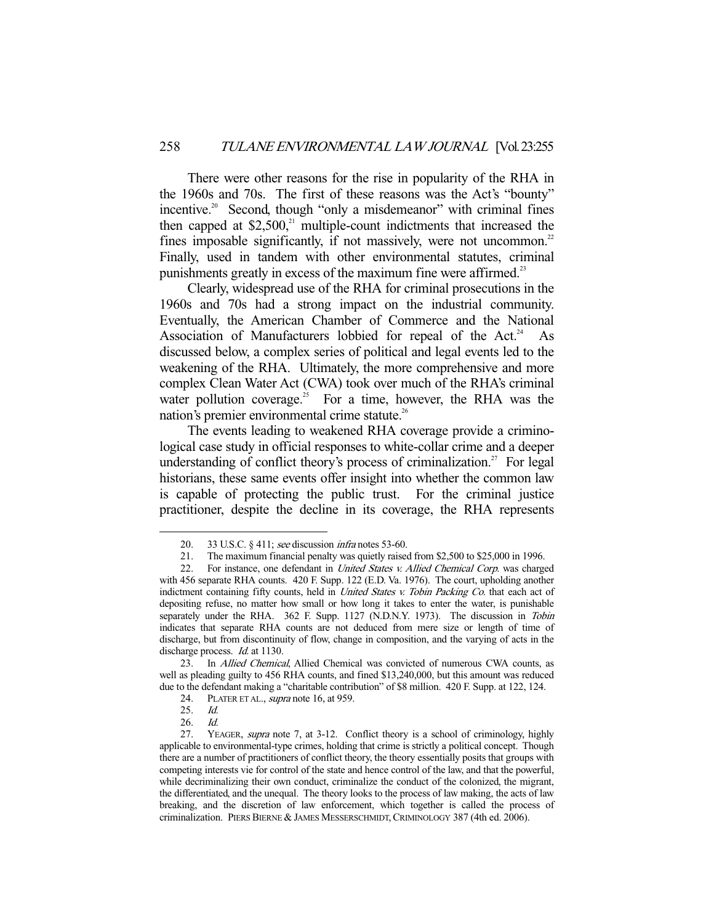There were other reasons for the rise in popularity of the RHA in the 1960s and 70s. The first of these reasons was the Act's "bounty" incentive.<sup>20</sup> Second, though "only a misdemeanor" with criminal fines then capped at  $$2,500$ ,<sup>21</sup> multiple-count indictments that increased the fines imposable significantly, if not massively, were not uncommon.<sup>22</sup> Finally, used in tandem with other environmental statutes, criminal punishments greatly in excess of the maximum fine were affirmed.<sup>23</sup>

 Clearly, widespread use of the RHA for criminal prosecutions in the 1960s and 70s had a strong impact on the industrial community. Eventually, the American Chamber of Commerce and the National Association of Manufacturers lobbied for repeal of the Act.<sup>24</sup> As discussed below, a complex series of political and legal events led to the weakening of the RHA. Ultimately, the more comprehensive and more complex Clean Water Act (CWA) took over much of the RHA's criminal water pollution coverage.<sup>25</sup> For a time, however, the RHA was the nation's premier environmental crime statute.<sup>26</sup>

 The events leading to weakened RHA coverage provide a criminological case study in official responses to white-collar crime and a deeper understanding of conflict theory's process of criminalization.<sup>27</sup> For legal historians, these same events offer insight into whether the common law is capable of protecting the public trust. For the criminal justice practitioner, despite the decline in its coverage, the RHA represents

<sup>20. 33</sup> U.S.C. § 411; see discussion *infra* notes 53-60.

 <sup>21.</sup> The maximum financial penalty was quietly raised from \$2,500 to \$25,000 in 1996.

<sup>22.</sup> For instance, one defendant in *United States v. Allied Chemical Corp.* was charged with 456 separate RHA counts. 420 F. Supp. 122 (E.D. Va. 1976). The court, upholding another indictment containing fifty counts, held in *United States v. Tobin Packing Co.* that each act of depositing refuse, no matter how small or how long it takes to enter the water, is punishable separately under the RHA. 362 F. Supp. 1127 (N.D.N.Y. 1973). The discussion in Tobin indicates that separate RHA counts are not deduced from mere size or length of time of discharge, but from discontinuity of flow, change in composition, and the varying of acts in the discharge process. Id. at 1130.

<sup>23.</sup> In Allied Chemical, Allied Chemical was convicted of numerous CWA counts, as well as pleading guilty to 456 RHA counts, and fined \$13,240,000, but this amount was reduced due to the defendant making a "charitable contribution" of \$8 million. 420 F. Supp. at 122, 124.

<sup>24.</sup> PLATER ET AL., *supra* note 16, at 959.

<sup>25.</sup> *Id.*<br>26. *Id.* 

 $26.$ 

 <sup>27.</sup> YEAGER, supra note 7, at 3-12. Conflict theory is a school of criminology, highly applicable to environmental-type crimes, holding that crime is strictly a political concept. Though there are a number of practitioners of conflict theory, the theory essentially posits that groups with competing interests vie for control of the state and hence control of the law, and that the powerful, while decriminalizing their own conduct, criminalize the conduct of the colonized, the migrant, the differentiated, and the unequal. The theory looks to the process of law making, the acts of law breaking, and the discretion of law enforcement, which together is called the process of criminalization. PIERS BIERNE & JAMES MESSERSCHMIDT,CRIMINOLOGY 387 (4th ed. 2006).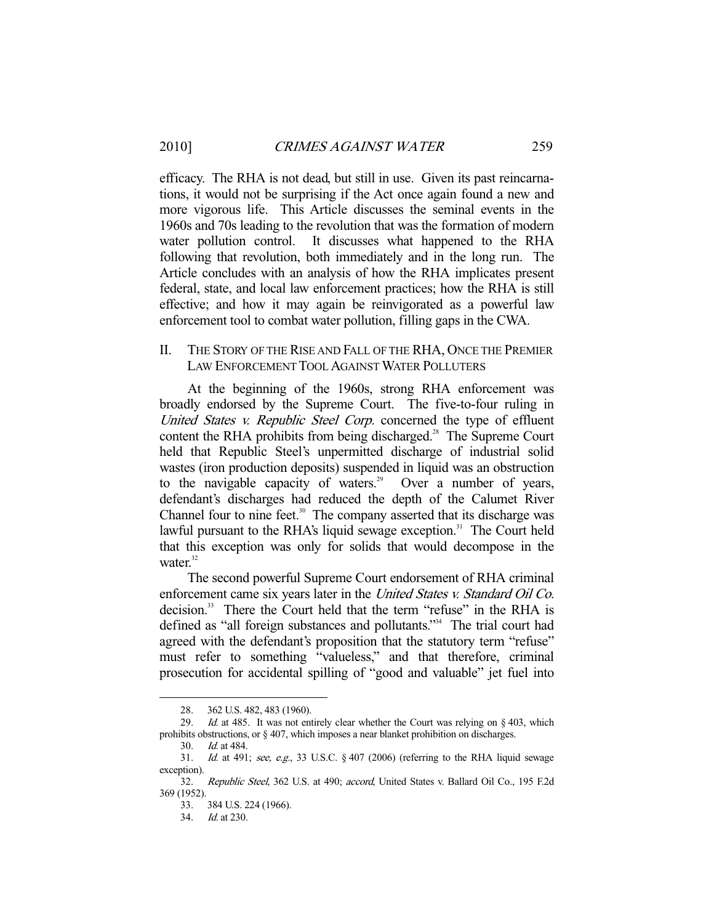efficacy. The RHA is not dead, but still in use. Given its past reincarnations, it would not be surprising if the Act once again found a new and more vigorous life. This Article discusses the seminal events in the 1960s and 70s leading to the revolution that was the formation of modern water pollution control. It discusses what happened to the RHA following that revolution, both immediately and in the long run. The Article concludes with an analysis of how the RHA implicates present federal, state, and local law enforcement practices; how the RHA is still effective; and how it may again be reinvigorated as a powerful law enforcement tool to combat water pollution, filling gaps in the CWA.

## II. THE STORY OF THE RISE AND FALL OF THE RHA, ONCE THE PREMIER LAW ENFORCEMENT TOOL AGAINST WATER POLLUTERS

 At the beginning of the 1960s, strong RHA enforcement was broadly endorsed by the Supreme Court. The five-to-four ruling in United States v. Republic Steel Corp. concerned the type of effluent content the RHA prohibits from being discharged.<sup>28</sup> The Supreme Court held that Republic Steel's unpermitted discharge of industrial solid wastes (iron production deposits) suspended in liquid was an obstruction to the navigable capacity of waters.<sup>29</sup> Over a number of years, defendant's discharges had reduced the depth of the Calumet River Channel four to nine feet.<sup>30</sup> The company asserted that its discharge was lawful pursuant to the RHA's liquid sewage exception.<sup>31</sup> The Court held that this exception was only for solids that would decompose in the water. $32$ 

 The second powerful Supreme Court endorsement of RHA criminal enforcement came six years later in the United States v. Standard Oil Co. decision.<sup>33</sup> There the Court held that the term "refuse" in the RHA is defined as "all foreign substances and pollutants."<sup>34</sup> The trial court had agreed with the defendant's proposition that the statutory term "refuse" must refer to something "valueless," and that therefore, criminal prosecution for accidental spilling of "good and valuable" jet fuel into

 <sup>28. 362</sup> U.S. 482, 483 (1960).

<sup>29.</sup> Id. at 485. It was not entirely clear whether the Court was relying on  $\S 403$ , which prohibits obstructions, or § 407, which imposes a near blanket prohibition on discharges.

 <sup>30.</sup> Id. at 484.

<sup>31.</sup> Id. at 491; see, e.g., 33 U.S.C.  $\S$  407 (2006) (referring to the RHA liquid sewage exception).

 <sup>32.</sup> Republic Steel, 362 U.S. at 490; accord, United States v. Ballard Oil Co., 195 F.2d 369 (1952).

 <sup>33. 384</sup> U.S. 224 (1966).

 <sup>34.</sup> Id. at 230.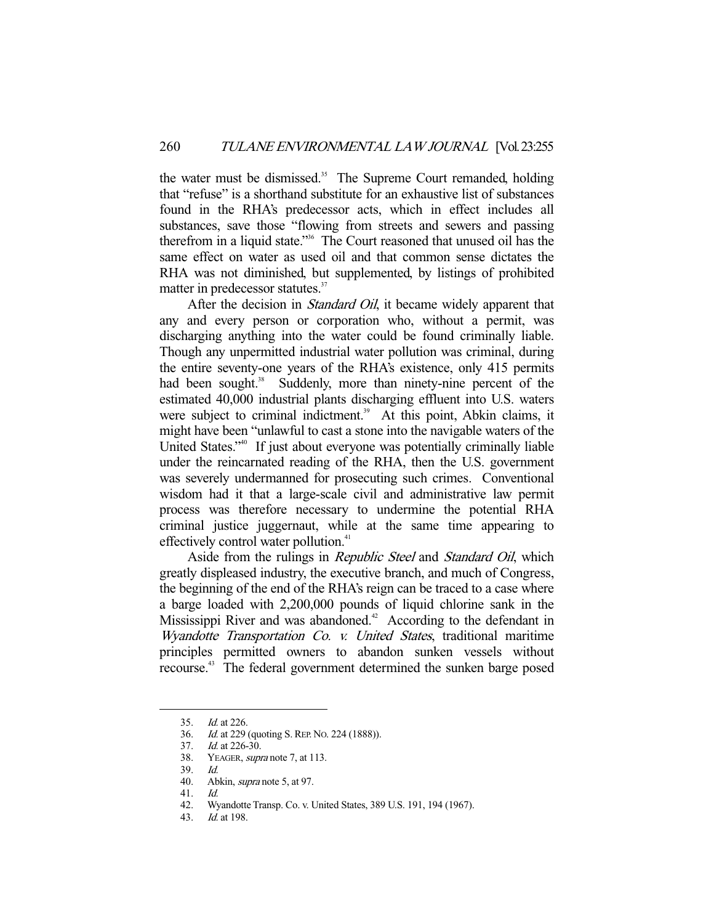the water must be dismissed.<sup>35</sup> The Supreme Court remanded, holding that "refuse" is a shorthand substitute for an exhaustive list of substances found in the RHA's predecessor acts, which in effect includes all substances, save those "flowing from streets and sewers and passing therefrom in a liquid state."36 The Court reasoned that unused oil has the same effect on water as used oil and that common sense dictates the RHA was not diminished, but supplemented, by listings of prohibited matter in predecessor statutes.<sup>37</sup>

After the decision in *Standard Oil*, it became widely apparent that any and every person or corporation who, without a permit, was discharging anything into the water could be found criminally liable. Though any unpermitted industrial water pollution was criminal, during the entire seventy-one years of the RHA's existence, only 415 permits had been sought.<sup>38</sup> Suddenly, more than ninety-nine percent of the estimated 40,000 industrial plants discharging effluent into U.S. waters were subject to criminal indictment.<sup>39</sup> At this point, Abkin claims, it might have been "unlawful to cast a stone into the navigable waters of the United States."<sup>40</sup> If just about everyone was potentially criminally liable under the reincarnated reading of the RHA, then the U.S. government was severely undermanned for prosecuting such crimes. Conventional wisdom had it that a large-scale civil and administrative law permit process was therefore necessary to undermine the potential RHA criminal justice juggernaut, while at the same time appearing to effectively control water pollution.<sup>41</sup>

Aside from the rulings in *Republic Steel* and *Standard Oil*, which greatly displeased industry, the executive branch, and much of Congress, the beginning of the end of the RHA's reign can be traced to a case where a barge loaded with 2,200,000 pounds of liquid chlorine sank in the Mississippi River and was abandoned.<sup>42</sup> According to the defendant in Wyandotte Transportation Co. v. United States, traditional maritime principles permitted owners to abandon sunken vessels without recourse.<sup>43</sup> The federal government determined the sunken barge posed

 <sup>35.</sup> Id. at 226.

 <sup>36.</sup> Id. at 229 (quoting S.REP. NO. 224 (1888)).

<sup>37.</sup> *Id.* at 226-30.

<sup>38.</sup> YEAGER, *supra* note 7, at 113.

 <sup>39.</sup> Id.

 <sup>40.</sup> Abkin, supra note 5, at 97.

 <sup>41.</sup> Id.

 <sup>42.</sup> Wyandotte Transp. Co. v. United States, 389 U.S. 191, 194 (1967).

 <sup>43.</sup> Id. at 198.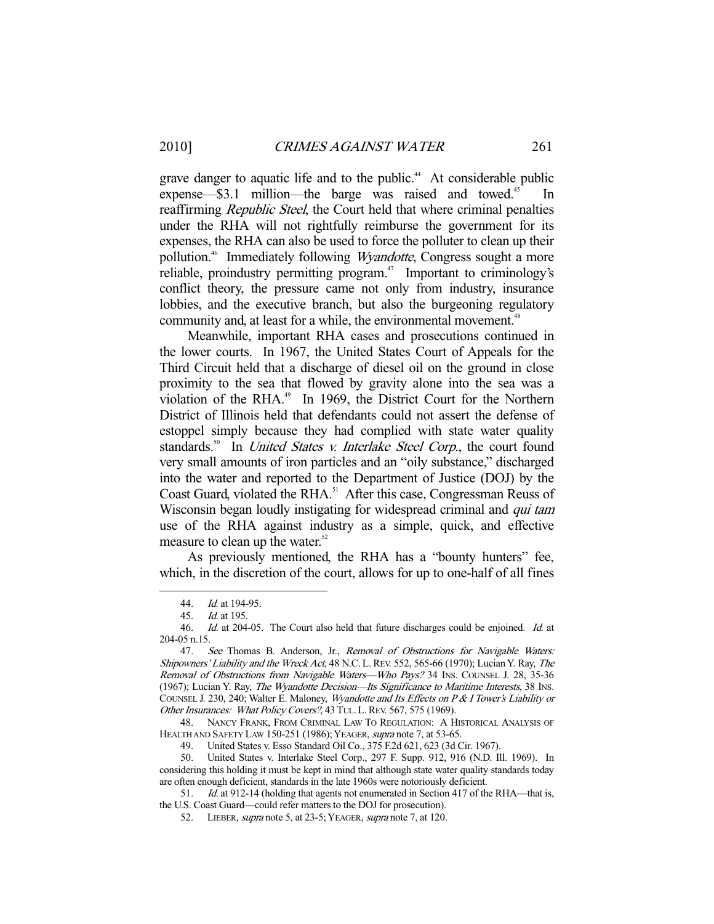grave danger to aquatic life and to the public.<sup>44</sup> At considerable public expense—\$3.1 million—the barge was raised and towed.<sup>45</sup> reaffirming *Republic Steel*, the Court held that where criminal penalties under the RHA will not rightfully reimburse the government for its expenses, the RHA can also be used to force the polluter to clean up their pollution.<sup>46</sup> Immediately following *Wyandotte*, Congress sought a more reliable, proindustry permitting program.<sup> $47$ </sup> Important to criminology's conflict theory, the pressure came not only from industry, insurance lobbies, and the executive branch, but also the burgeoning regulatory community and, at least for a while, the environmental movement.<sup>48</sup>

 Meanwhile, important RHA cases and prosecutions continued in the lower courts. In 1967, the United States Court of Appeals for the Third Circuit held that a discharge of diesel oil on the ground in close proximity to the sea that flowed by gravity alone into the sea was a violation of the RHA.<sup>49</sup> In 1969, the District Court for the Northern District of Illinois held that defendants could not assert the defense of estoppel simply because they had complied with state water quality standards.<sup>50</sup> In *United States v. Interlake Steel Corp.*, the court found very small amounts of iron particles and an "oily substance," discharged into the water and reported to the Department of Justice (DOJ) by the Coast Guard, violated the RHA.<sup>51</sup> After this case, Congressman Reuss of Wisconsin began loudly instigating for widespread criminal and *qui tam* use of the RHA against industry as a simple, quick, and effective measure to clean up the water. $52$ 

 As previously mentioned, the RHA has a "bounty hunters" fee, which, in the discretion of the court, allows for up to one-half of all fines

-

 48. NANCY FRANK, FROM CRIMINAL LAW TO REGULATION: A HISTORICAL ANALYSIS OF HEALTH AND SAFETY LAW 150-251 (1986); YEAGER, supra note 7, at 53-65.

49. United States v. Esso Standard Oil Co., 375 F.2d 621, 623 (3d Cir. 1967).

 50. United States v. Interlake Steel Corp., 297 F. Supp. 912, 916 (N.D. Ill. 1969). In considering this holding it must be kept in mind that although state water quality standards today are often enough deficient, standards in the late 1960s were notoriously deficient.

51. *Id.* at 912-14 (holding that agents not enumerated in Section 417 of the RHA—that is, the U.S. Coast Guard—could refer matters to the DOJ for prosecution).

52. LIEBER, *supra* note 5, at 23-5; YEAGER, *supra* note 7, at 120.

<sup>44.</sup> *Id.* at 194-95.

 <sup>45.</sup> Id. at 195.

<sup>46.</sup> Id. at 204-05. The Court also held that future discharges could be enjoined. Id. at 204-05 n.15.

<sup>47.</sup> See Thomas B. Anderson, Jr., Removal of Obstructions for Navigable Waters: Shipowners' Liability and the Wreck Act, 48 N.C. L. REV. 552, 565-66 (1970); Lucian Y. Ray, The Removal of Obstructions from Navigable Waters—Who Pays? 34 INS. COUNSEL J. 28, 35-36 (1967); Lucian Y. Ray, The Wyandotte Decision—Its Significance to Maritime Interests, 38 INS. COUNSEL J. 230, 240; Walter E. Maloney, Wyandotte and Its Effects on P & I Tower's Liability or Other Insurances: What Policy Covers?, 43 TUL. L. REV. 567, 575 (1969).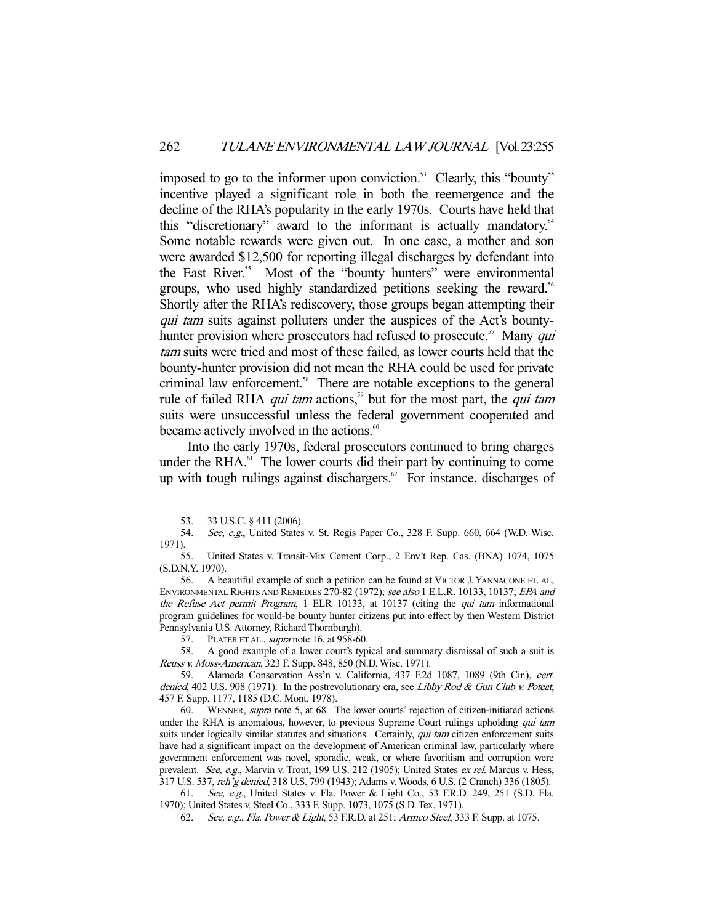imposed to go to the informer upon conviction.<sup>53</sup> Clearly, this "bounty" incentive played a significant role in both the reemergence and the decline of the RHA's popularity in the early 1970s. Courts have held that this "discretionary" award to the informant is actually mandatory.<sup>54</sup> Some notable rewards were given out. In one case, a mother and son were awarded \$12,500 for reporting illegal discharges by defendant into the East River.<sup>55</sup> Most of the "bounty hunters" were environmental groups, who used highly standardized petitions seeking the reward.<sup>56</sup> Shortly after the RHA's rediscovery, those groups began attempting their qui tam suits against polluters under the auspices of the Act's bountyhunter provision where prosecutors had refused to prosecute.<sup>57</sup> Many *qui* tam suits were tried and most of these failed, as lower courts held that the bounty-hunter provision did not mean the RHA could be used for private criminal law enforcement.<sup>58</sup> There are notable exceptions to the general rule of failed RHA *qui tam* actions,<sup>59</sup> but for the most part, the *qui tam* suits were unsuccessful unless the federal government cooperated and became actively involved in the actions.<sup>60</sup>

 Into the early 1970s, federal prosecutors continued to bring charges under the RHA. $^{61}$  The lower courts did their part by continuing to come up with tough rulings against dischargers. $62$  For instance, discharges of

 <sup>53. 33</sup> U.S.C. § 411 (2006).

<sup>54.</sup> See, e.g., United States v. St. Regis Paper Co., 328 F. Supp. 660, 664 (W.D. Wisc. 1971).

 <sup>55.</sup> United States v. Transit-Mix Cement Corp., 2 Env't Rep. Cas. (BNA) 1074, 1075 (S.D.N.Y. 1970).

 <sup>56.</sup> A beautiful example of such a petition can be found at VICTOR J. YANNACONE ET. AL, ENVIRONMENTAL RIGHTS AND REMEDIES 270-82 (1972); see also 1 E.L.R. 10133, 10137; EPA and the Refuse Act permit Program, 1 ELR 10133, at 10137 (citing the qui tam informational program guidelines for would-be bounty hunter citizens put into effect by then Western District Pennsylvania U.S. Attorney, Richard Thornburgh).

<sup>57.</sup> PLATER ET AL., *supra* note 16, at 958-60.

 <sup>58.</sup> A good example of a lower court's typical and summary dismissal of such a suit is Reuss v. Moss-American, 323 F. Supp. 848, 850 (N.D. Wisc. 1971).

 <sup>59.</sup> Alameda Conservation Ass'n v. California, 437 F.2d 1087, 1089 (9th Cir.), cert. denied, 402 U.S. 908 (1971). In the postrevolutionary era, see Libby Rod & Gun Club v. Poteat, 457 F. Supp. 1177, 1185 (D.C. Mont. 1978).

<sup>60.</sup> WENNER, *supra* note 5, at 68. The lower courts' rejection of citizen-initiated actions under the RHA is anomalous, however, to previous Supreme Court rulings upholding *qui tam* suits under logically similar statutes and situations. Certainly, qui tam citizen enforcement suits have had a significant impact on the development of American criminal law, particularly where government enforcement was novel, sporadic, weak, or where favoritism and corruption were prevalent. See, e.g., Marvin v. Trout, 199 U.S. 212 (1905); United States ex rel. Marcus v. Hess, 317 U.S. 537, reh'g denied, 318 U.S. 799 (1943); Adams v. Woods, 6 U.S. (2 Cranch) 336 (1805).

 <sup>61.</sup> See, e.g., United States v. Fla. Power & Light Co., 53 F.R.D. 249, 251 (S.D. Fla. 1970); United States v. Steel Co., 333 F. Supp. 1073, 1075 (S.D. Tex. 1971).

 <sup>62.</sup> See, e.g., Fla. Power & Light, 53 F.R.D. at 251; Armco Steel, 333 F. Supp. at 1075.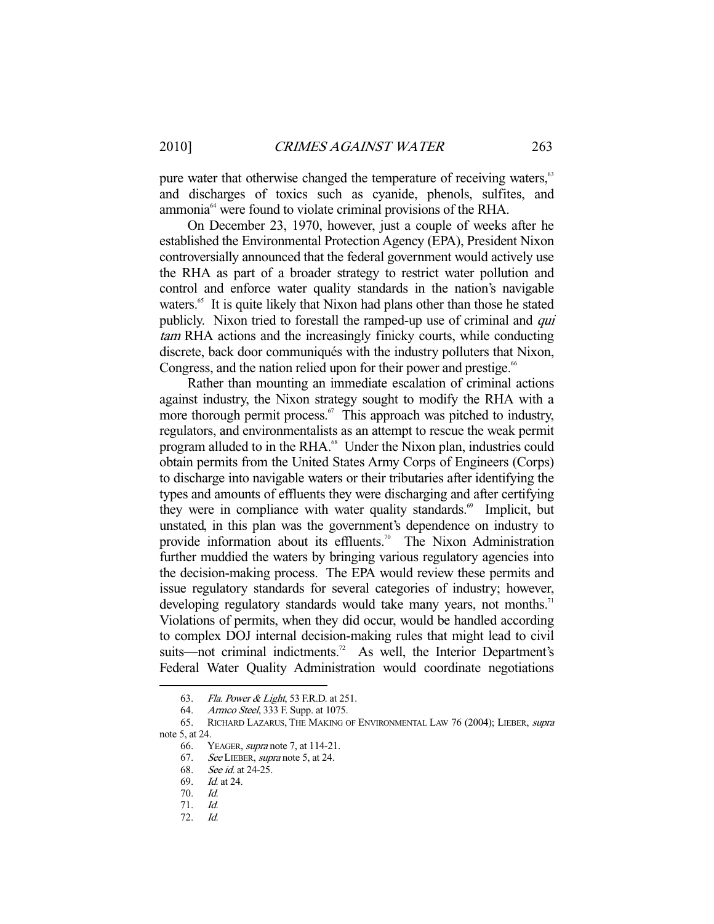pure water that otherwise changed the temperature of receiving waters,<sup>63</sup> and discharges of toxics such as cyanide, phenols, sulfites, and ammonia<sup>64</sup> were found to violate criminal provisions of the RHA.

 On December 23, 1970, however, just a couple of weeks after he established the Environmental Protection Agency (EPA), President Nixon controversially announced that the federal government would actively use the RHA as part of a broader strategy to restrict water pollution and control and enforce water quality standards in the nation's navigable waters.<sup>65</sup> It is quite likely that Nixon had plans other than those he stated publicly. Nixon tried to forestall the ramped-up use of criminal and *qui* tam RHA actions and the increasingly finicky courts, while conducting discrete, back door communiqués with the industry polluters that Nixon, Congress, and the nation relied upon for their power and prestige.<sup>66</sup>

 Rather than mounting an immediate escalation of criminal actions against industry, the Nixon strategy sought to modify the RHA with a more thorough permit process. $67$  This approach was pitched to industry, regulators, and environmentalists as an attempt to rescue the weak permit program alluded to in the RHA.<sup>68</sup> Under the Nixon plan, industries could obtain permits from the United States Army Corps of Engineers (Corps) to discharge into navigable waters or their tributaries after identifying the types and amounts of effluents they were discharging and after certifying they were in compliance with water quality standards.<sup>69</sup> Implicit, but unstated, in this plan was the government's dependence on industry to provide information about its effluents.<sup>70</sup> The Nixon Administration further muddied the waters by bringing various regulatory agencies into the decision-making process. The EPA would review these permits and issue regulatory standards for several categories of industry; however, developing regulatory standards would take many years, not months.<sup>71</sup> Violations of permits, when they did occur, would be handled according to complex DOJ internal decision-making rules that might lead to civil suits—not criminal indictments.<sup>72</sup> As well, the Interior Department's Federal Water Quality Administration would coordinate negotiations

<sup>63.</sup> *Fla. Power & Light*, 53 F.R.D. at 251.

 <sup>64.</sup> Armco Steel, 333 F. Supp. at 1075.

 <sup>65.</sup> RICHARD LAZARUS, THE MAKING OF ENVIRONMENTAL LAW 76 (2004); LIEBER, supra note 5, at 24.

<sup>66.</sup> YEAGER, *supra* note 7, at 114-21.

 <sup>67.</sup> See LIEBER, supra note 5, at 24.

 <sup>68.</sup> See id. at 24-25.

 <sup>69.</sup> Id. at 24.

 <sup>70.</sup> Id.

 <sup>71.</sup> Id.

 <sup>72.</sup> Id.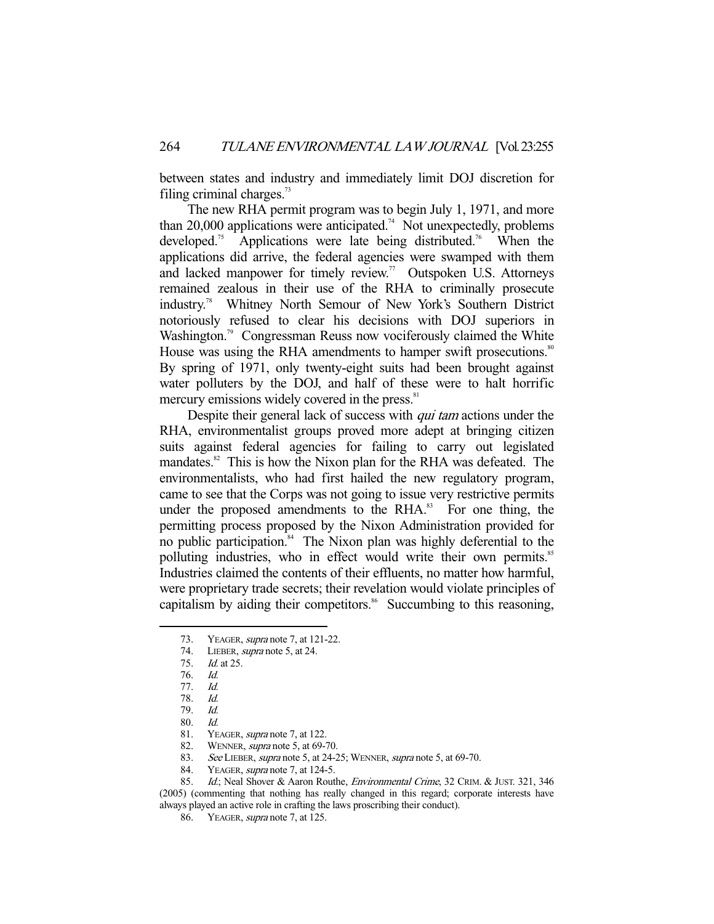between states and industry and immediately limit DOJ discretion for filing criminal charges. $73$ 

 The new RHA permit program was to begin July 1, 1971, and more than 20,000 applications were anticipated.<sup>74</sup> Not unexpectedly, problems developed.<sup>75</sup> Applications were late being distributed.<sup>76</sup> When the applications did arrive, the federal agencies were swamped with them and lacked manpower for timely review.<sup>77</sup> Outspoken U.S. Attorneys remained zealous in their use of the RHA to criminally prosecute industry.78 Whitney North Semour of New York's Southern District notoriously refused to clear his decisions with DOJ superiors in Washington.<sup>79</sup> Congressman Reuss now vociferously claimed the White House was using the RHA amendments to hamper swift prosecutions.<sup>80</sup> By spring of 1971, only twenty-eight suits had been brought against water polluters by the DOJ, and half of these were to halt horrific mercury emissions widely covered in the press.<sup>81</sup>

Despite their general lack of success with *qui tam* actions under the RHA, environmentalist groups proved more adept at bringing citizen suits against federal agencies for failing to carry out legislated mandates.<sup>82</sup> This is how the Nixon plan for the RHA was defeated. The environmentalists, who had first hailed the new regulatory program, came to see that the Corps was not going to issue very restrictive permits under the proposed amendments to the RHA.<sup>83</sup> For one thing, the permitting process proposed by the Nixon Administration provided for no public participation.<sup>84</sup> The Nixon plan was highly deferential to the polluting industries, who in effect would write their own permits.<sup>85</sup> Industries claimed the contents of their effluents, no matter how harmful, were proprietary trade secrets; their revelation would violate principles of capitalism by aiding their competitors.<sup>86</sup> Succumbing to this reasoning,

-

82. WENNER, supra note 5, at 69-70.

<sup>73.</sup> YEAGER, *supra* note 7, at 121-22.

 <sup>74.</sup> LIEBER, supra note 5, at 24.

 <sup>75.</sup> Id. at 25.

 <sup>76.</sup> Id.

 <sup>77.</sup> Id.

 <sup>78.</sup> Id.

 <sup>79.</sup> Id.

 <sup>80.</sup> Id.

<sup>81.</sup> YEAGER, *supra* note 7, at 122.

<sup>83.</sup> See LIEBER, supra note 5, at 24-25; WENNER, supra note 5, at 69-70.

<sup>84.</sup> YEAGER, *supra* note 7, at 124-5.<br>85. Id: Neal Shover & Aaron Rout

Id.; Neal Shover & Aaron Routhe, Environmental Crime, 32 CRIM. & JUST. 321, 346 (2005) (commenting that nothing has really changed in this regard; corporate interests have always played an active role in crafting the laws proscribing their conduct).

 <sup>86.</sup> YEAGER, supra note 7, at 125.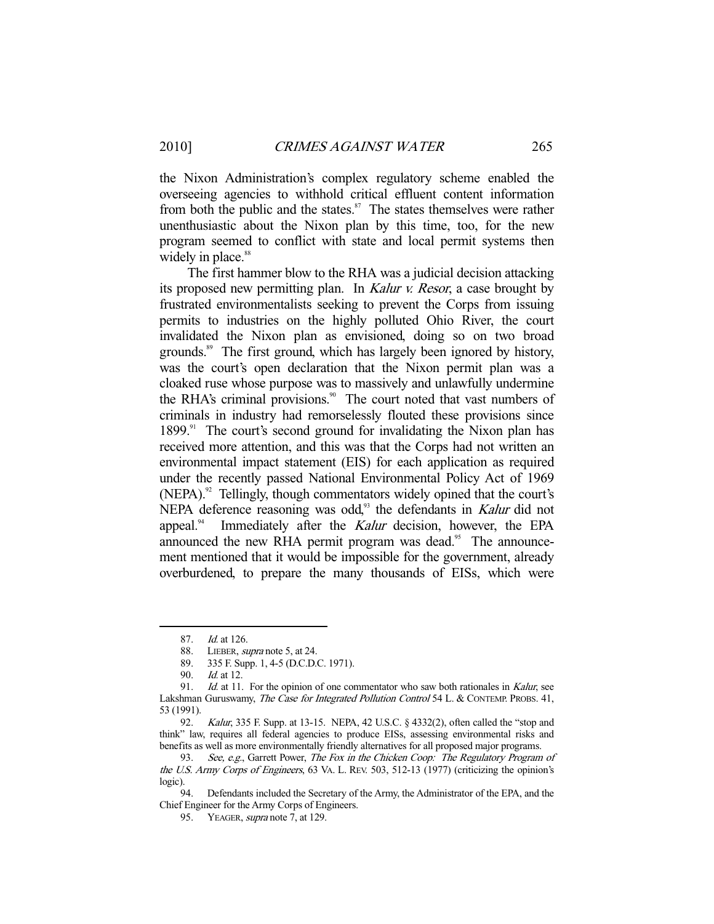the Nixon Administration's complex regulatory scheme enabled the overseeing agencies to withhold critical effluent content information from both the public and the states.<sup>87</sup> The states themselves were rather unenthusiastic about the Nixon plan by this time, too, for the new program seemed to conflict with state and local permit systems then widely in place.<sup>88</sup>

 The first hammer blow to the RHA was a judicial decision attacking its proposed new permitting plan. In Kalur v. Resor, a case brought by frustrated environmentalists seeking to prevent the Corps from issuing permits to industries on the highly polluted Ohio River, the court invalidated the Nixon plan as envisioned, doing so on two broad grounds.<sup>89</sup> The first ground, which has largely been ignored by history, was the court's open declaration that the Nixon permit plan was a cloaked ruse whose purpose was to massively and unlawfully undermine the RHA's criminal provisions.<sup>90</sup> The court noted that vast numbers of criminals in industry had remorselessly flouted these provisions since  $1899$ .<sup>91</sup> The court's second ground for invalidating the Nixon plan has received more attention, and this was that the Corps had not written an environmental impact statement (EIS) for each application as required under the recently passed National Environmental Policy Act of 1969 (NEPA).<sup>92</sup> Tellingly, though commentators widely opined that the court's NEPA deference reasoning was odd,<sup>93</sup> the defendants in Kalur did not appeal. $94$  Immediately after the Kalur decision, however, the EPA announced the new RHA permit program was dead.<sup>95</sup> The announcement mentioned that it would be impossible for the government, already overburdened, to prepare the many thousands of EISs, which were

 <sup>87.</sup> Id. at 126.

<sup>88.</sup> LIEBER, *supra* note 5, at 24.

 <sup>89. 335</sup> F. Supp. 1, 4-5 (D.C.D.C. 1971).

 <sup>90.</sup> Id. at 12.

<sup>91.</sup> *Id.* at 11. For the opinion of one commentator who saw both rationales in Kalur, see Lakshman Guruswamy, The Case for Integrated Pollution Control 54 L. & CONTEMP. PROBS. 41, 53 (1991).

<sup>92.</sup> *Kalur*, 335 F. Supp. at 13-15. NEPA, 42 U.S.C. § 4332(2), often called the "stop and think" law, requires all federal agencies to produce EISs, assessing environmental risks and benefits as well as more environmentally friendly alternatives for all proposed major programs.

<sup>93.</sup> See, e.g., Garrett Power, The Fox in the Chicken Coop: The Regulatory Program of the U.S. Army Corps of Engineers, 63 VA. L. REV. 503, 512-13 (1977) (criticizing the opinion's logic).

 <sup>94.</sup> Defendants included the Secretary of the Army, the Administrator of the EPA, and the Chief Engineer for the Army Corps of Engineers.

<sup>95.</sup> YEAGER, *supra* note 7, at 129.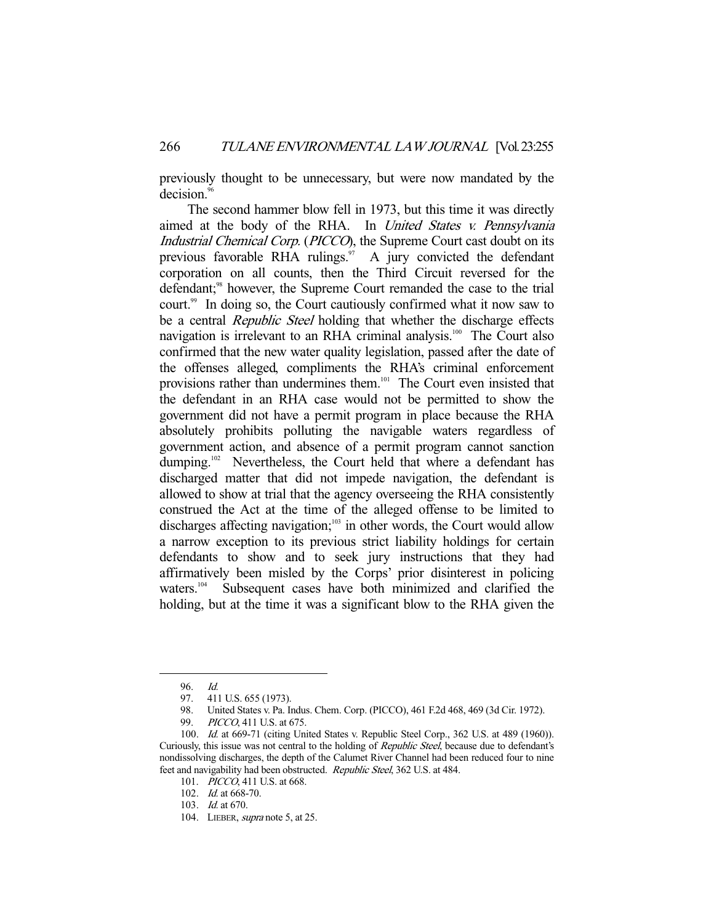previously thought to be unnecessary, but were now mandated by the decision.<sup>96</sup>

 The second hammer blow fell in 1973, but this time it was directly aimed at the body of the RHA. In United States v. Pennsylvania Industrial Chemical Corp. (PICCO), the Supreme Court cast doubt on its previous favorable RHA rulings. $97$  A jury convicted the defendant corporation on all counts, then the Third Circuit reversed for the defendant;<sup>98</sup> however, the Supreme Court remanded the case to the trial court.<sup>99</sup> In doing so, the Court cautiously confirmed what it now saw to be a central *Republic Steel* holding that whether the discharge effects navigation is irrelevant to an RHA criminal analysis.<sup>100</sup> The Court also confirmed that the new water quality legislation, passed after the date of the offenses alleged, compliments the RHA's criminal enforcement provisions rather than undermines them.<sup>101</sup> The Court even insisted that the defendant in an RHA case would not be permitted to show the government did not have a permit program in place because the RHA absolutely prohibits polluting the navigable waters regardless of government action, and absence of a permit program cannot sanction dumping.<sup>102</sup> Nevertheless, the Court held that where a defendant has discharged matter that did not impede navigation, the defendant is allowed to show at trial that the agency overseeing the RHA consistently construed the Act at the time of the alleged offense to be limited to discharges affecting navigation; $103$  in other words, the Court would allow a narrow exception to its previous strict liability holdings for certain defendants to show and to seek jury instructions that they had affirmatively been misled by the Corps' prior disinterest in policing waters.<sup>104</sup> Subsequent cases have both minimized and clarified the holding, but at the time it was a significant blow to the RHA given the

 <sup>96.</sup> Id.

 <sup>97. 411</sup> U.S. 655 (1973).

<sup>98.</sup> United States v. Pa. Indus. Chem. Corp. (PICCO), 461 F.2d 468, 469 (3d Cir. 1972).<br>99. *PICCO*. 411 U.S. at 675.

PICCO, 411 U.S. at 675.

<sup>100.</sup> *Id.* at 669-71 (citing United States v. Republic Steel Corp., 362 U.S. at 489 (1960)). Curiously, this issue was not central to the holding of Republic Steel, because due to defendant's nondissolving discharges, the depth of the Calumet River Channel had been reduced four to nine feet and navigability had been obstructed. Republic Steel, 362 U.S. at 484.

<sup>101.</sup> *PICCO*, 411 U.S. at 668.

 <sup>102.</sup> Id. at 668-70.

 <sup>103.</sup> Id. at 670.

<sup>104.</sup> LIEBER, *supra* note 5, at 25.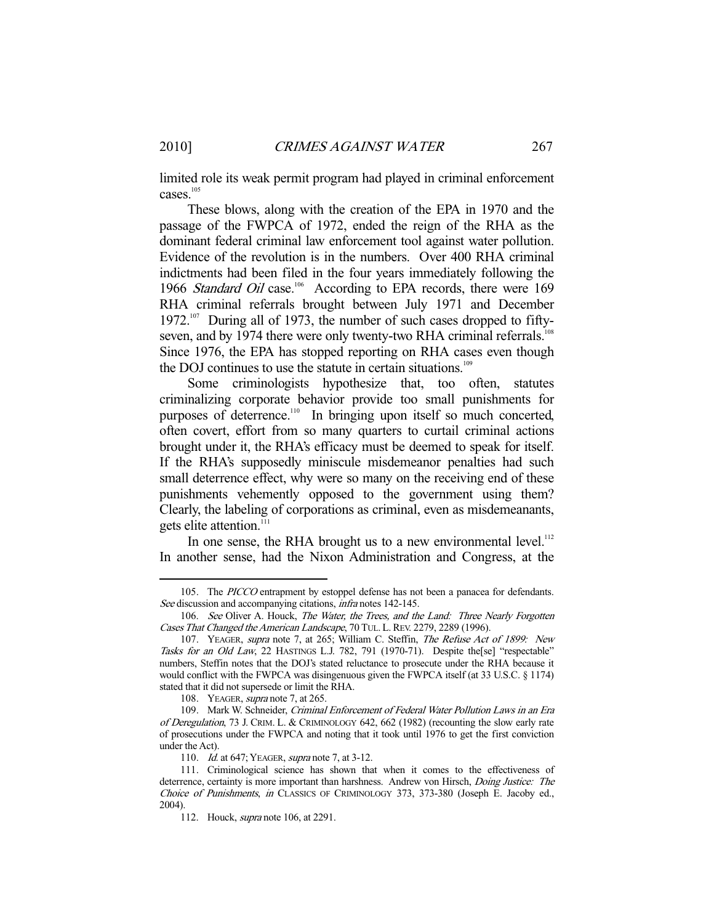limited role its weak permit program had played in criminal enforcement cases.<sup>105</sup>

 These blows, along with the creation of the EPA in 1970 and the passage of the FWPCA of 1972, ended the reign of the RHA as the dominant federal criminal law enforcement tool against water pollution. Evidence of the revolution is in the numbers. Over 400 RHA criminal indictments had been filed in the four years immediately following the 1966 Standard Oil case.<sup>106</sup> According to EPA records, there were 169 RHA criminal referrals brought between July 1971 and December 1972.<sup>107</sup> During all of 1973, the number of such cases dropped to fiftyseven, and by 1974 there were only twenty-two RHA criminal referrals.<sup>108</sup> Since 1976, the EPA has stopped reporting on RHA cases even though the DOJ continues to use the statute in certain situations. $109$ 

 Some criminologists hypothesize that, too often, statutes criminalizing corporate behavior provide too small punishments for purposes of deterrence.<sup>110</sup> In bringing upon itself so much concerted, often covert, effort from so many quarters to curtail criminal actions brought under it, the RHA's efficacy must be deemed to speak for itself. If the RHA's supposedly miniscule misdemeanor penalties had such small deterrence effect, why were so many on the receiving end of these punishments vehemently opposed to the government using them? Clearly, the labeling of corporations as criminal, even as misdemeanants, gets elite attention.<sup>111</sup>

In one sense, the RHA brought us to a new environmental level.<sup>112</sup> In another sense, had the Nixon Administration and Congress, at the

 <sup>105.</sup> The PICCO entrapment by estoppel defense has not been a panacea for defendants. See discussion and accompanying citations, *infra* notes 142-145.

<sup>106.</sup> See Oliver A. Houck, The Water, the Trees, and the Land: Three Nearly Forgotten Cases That Changed the American Landscape, 70 TUL. L. REV. 2279, 2289 (1996).

<sup>107.</sup> YEAGER, supra note 7, at 265; William C. Steffin, The Refuse Act of 1899: New Tasks for an Old Law, 22 HASTINGS L.J. 782, 791 (1970-71). Despite the[se] "respectable" numbers, Steffin notes that the DOJ's stated reluctance to prosecute under the RHA because it would conflict with the FWPCA was disingenuous given the FWPCA itself (at 33 U.S.C. § 1174) stated that it did not supersede or limit the RHA.

<sup>108.</sup> YEAGER, *supra* note 7, at 265.

 <sup>109.</sup> Mark W. Schneider, Criminal Enforcement of Federal Water Pollution Laws in an Era of Deregulation, 73 J. CRIM. L. & CRIMINOLOGY 642, 662 (1982) (recounting the slow early rate of prosecutions under the FWPCA and noting that it took until 1976 to get the first conviction under the Act).

<sup>110.</sup> *Id.* at 647; YEAGER, *supra* note 7, at 3-12.

 <sup>111.</sup> Criminological science has shown that when it comes to the effectiveness of deterrence, certainty is more important than harshness. Andrew von Hirsch, Doing Justice: The Choice of Punishments, in CLASSICS OF CRIMINOLOGY 373, 373-380 (Joseph E. Jacoby ed., 2004).

 <sup>112.</sup> Houck, supra note 106, at 2291.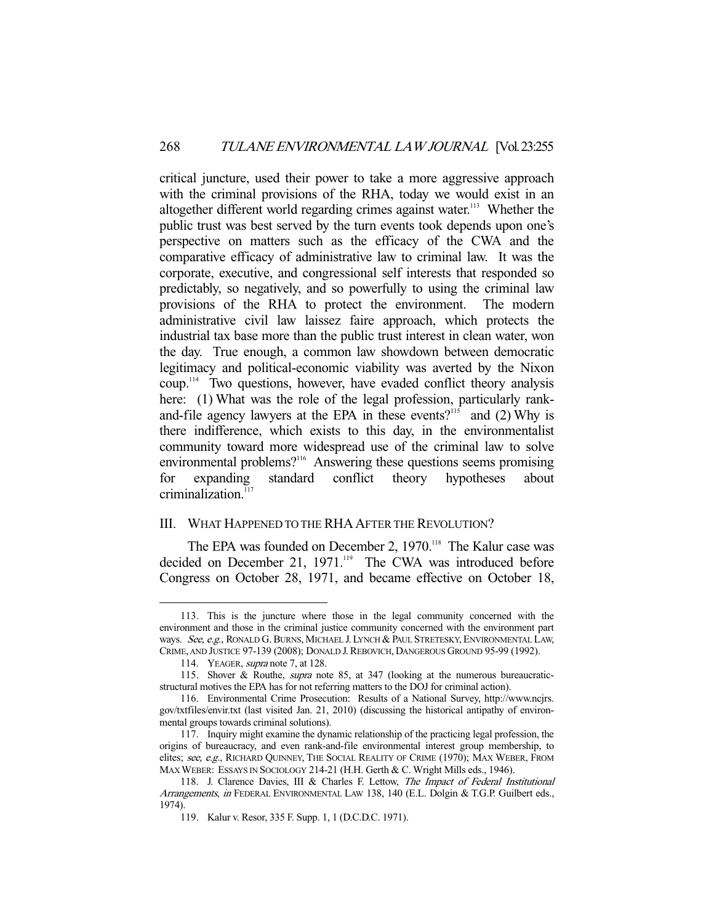critical juncture, used their power to take a more aggressive approach with the criminal provisions of the RHA, today we would exist in an altogether different world regarding crimes against water.<sup>113</sup> Whether the public trust was best served by the turn events took depends upon one's perspective on matters such as the efficacy of the CWA and the comparative efficacy of administrative law to criminal law. It was the corporate, executive, and congressional self interests that responded so predictably, so negatively, and so powerfully to using the criminal law provisions of the RHA to protect the environment. The modern administrative civil law laissez faire approach, which protects the industrial tax base more than the public trust interest in clean water, won the day. True enough, a common law showdown between democratic legitimacy and political-economic viability was averted by the Nixon coup.114 Two questions, however, have evaded conflict theory analysis here: (1) What was the role of the legal profession, particularly rankand-file agency lawyers at the EPA in these events?<sup>115</sup> and (2) Why is there indifference, which exists to this day, in the environmentalist community toward more widespread use of the criminal law to solve environmental problems?<sup>116</sup> Answering these questions seems promising for expanding standard conflict theory hypotheses about criminalization.<sup>11</sup>

#### III. WHAT HAPPENED TO THE RHA AFTER THE REVOLUTION?

The EPA was founded on December 2, 1970.<sup>118</sup> The Kalur case was decided on December 21, 1971.<sup>119</sup> The CWA was introduced before Congress on October 28, 1971, and became effective on October 18,

 <sup>113.</sup> This is the juncture where those in the legal community concerned with the environment and those in the criminal justice community concerned with the environment part ways. See, e.g., RONALD G. BURNS, MICHAEL J. LYNCH & PAUL STRETESKY, ENVIRONMENTAL LAW, CRIME, AND JUSTICE 97-139 (2008); DONALD J. REBOVICH, DANGEROUS GROUND 95-99 (1992).

<sup>114.</sup> YEAGER, *supra* note 7, at 128.

<sup>115.</sup> Shover & Routhe, *supra* note 85, at 347 (looking at the numerous bureaucraticstructural motives the EPA has for not referring matters to the DOJ for criminal action).

 <sup>116.</sup> Environmental Crime Prosecution: Results of a National Survey, http://www.ncjrs. gov/txtfiles/envir.txt (last visited Jan. 21, 2010) (discussing the historical antipathy of environmental groups towards criminal solutions).

 <sup>117.</sup> Inquiry might examine the dynamic relationship of the practicing legal profession, the origins of bureaucracy, and even rank-and-file environmental interest group membership, to elites; see, e.g., RICHARD QUINNEY, THE SOCIAL REALITY OF CRIME (1970); MAX WEBER, FROM MAX WEBER: ESSAYS IN SOCIOLOGY 214-21 (H.H. Gerth & C. Wright Mills eds., 1946).

<sup>118.</sup> J. Clarence Davies, III & Charles F. Lettow, The Impact of Federal Institutional Arrangements, in FEDERAL ENVIRONMENTAL LAW 138, 140 (E.L. Dolgin & T.G.P. Guilbert eds., 1974).

 <sup>119.</sup> Kalur v. Resor, 335 F. Supp. 1, 1 (D.C.D.C. 1971).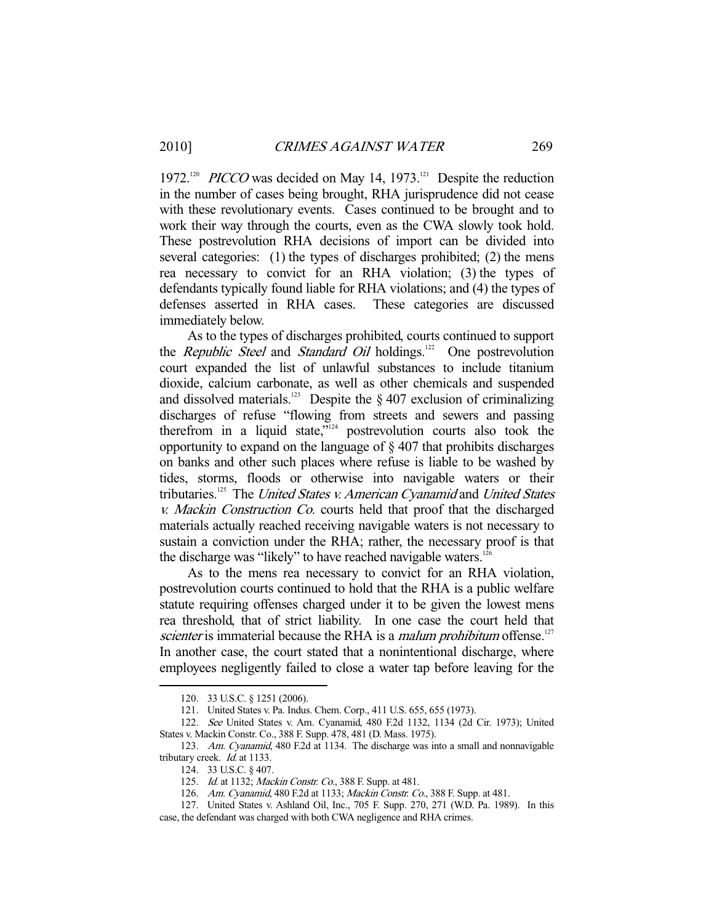1972.<sup>120</sup> *PICCO* was decided on May 14, 1973.<sup>121</sup> Despite the reduction in the number of cases being brought, RHA jurisprudence did not cease with these revolutionary events. Cases continued to be brought and to work their way through the courts, even as the CWA slowly took hold. These postrevolution RHA decisions of import can be divided into several categories: (1) the types of discharges prohibited; (2) the mens rea necessary to convict for an RHA violation; (3) the types of defendants typically found liable for RHA violations; and (4) the types of defenses asserted in RHA cases. These categories are discussed immediately below.

 As to the types of discharges prohibited, courts continued to support the *Republic Steel* and *Standard Oil* holdings.<sup>122</sup> One postrevolution court expanded the list of unlawful substances to include titanium dioxide, calcium carbonate, as well as other chemicals and suspended and dissolved materials.<sup>123</sup> Despite the  $\frac{8}{407}$  exclusion of criminalizing discharges of refuse "flowing from streets and sewers and passing therefrom in a liquid state,"124 postrevolution courts also took the opportunity to expand on the language of § 407 that prohibits discharges on banks and other such places where refuse is liable to be washed by tides, storms, floods or otherwise into navigable waters or their tributaries.<sup>125</sup> The United States v. American Cyanamid and United States v. Mackin Construction Co. courts held that proof that the discharged materials actually reached receiving navigable waters is not necessary to sustain a conviction under the RHA; rather, the necessary proof is that the discharge was "likely" to have reached navigable waters.<sup>1</sup>

 As to the mens rea necessary to convict for an RHA violation, postrevolution courts continued to hold that the RHA is a public welfare statute requiring offenses charged under it to be given the lowest mens rea threshold, that of strict liability. In one case the court held that scienter is immaterial because the RHA is a *malum prohibitum* offense.<sup>127</sup> In another case, the court stated that a nonintentional discharge, where employees negligently failed to close a water tap before leaving for the

 <sup>120. 33</sup> U.S.C. § 1251 (2006).

 <sup>121.</sup> United States v. Pa. Indus. Chem. Corp., 411 U.S. 655, 655 (1973).

 <sup>122.</sup> See United States v. Am. Cyanamid, 480 F.2d 1132, 1134 (2d Cir. 1973); United States v. Mackin Constr. Co., 388 F. Supp. 478, 481 (D. Mass. 1975).

 <sup>123.</sup> Am. Cyanamid, 480 F.2d at 1134. The discharge was into a small and nonnavigable tributary creek. *Id.* at 1133.

 <sup>124. 33</sup> U.S.C. § 407.

<sup>125.</sup> Id. at 1132; Mackin Constr. Co., 388 F. Supp. at 481.

<sup>126.</sup> Am. Cyanamid, 480 F.2d at 1133; Mackin Constr. Co., 388 F. Supp. at 481.

 <sup>127.</sup> United States v. Ashland Oil, Inc., 705 F. Supp. 270, 271 (W.D. Pa. 1989). In this case, the defendant was charged with both CWA negligence and RHA crimes.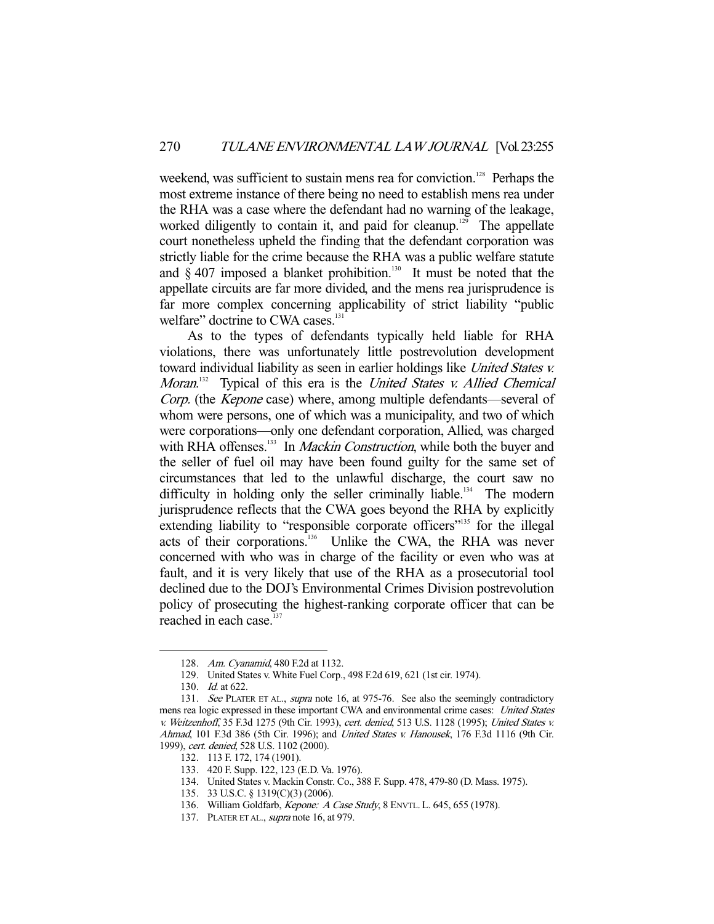weekend, was sufficient to sustain mens rea for conviction.<sup>128</sup> Perhaps the most extreme instance of there being no need to establish mens rea under the RHA was a case where the defendant had no warning of the leakage, worked diligently to contain it, and paid for cleanup.<sup>129</sup> The appellate court nonetheless upheld the finding that the defendant corporation was strictly liable for the crime because the RHA was a public welfare statute and  $\S 407$  imposed a blanket prohibition.<sup>130</sup> It must be noted that the appellate circuits are far more divided, and the mens rea jurisprudence is far more complex concerning applicability of strict liability "public welfare" doctrine to CWA cases.<sup>131</sup>

 As to the types of defendants typically held liable for RHA violations, there was unfortunately little postrevolution development toward individual liability as seen in earlier holdings like United States v. Moran.<sup>132</sup> Typical of this era is the United States v. Allied Chemical Corp. (the Kepone case) where, among multiple defendants—several of whom were persons, one of which was a municipality, and two of which were corporations—only one defendant corporation, Allied, was charged with RHA offenses.<sup>133</sup> In *Mackin Construction*, while both the buyer and the seller of fuel oil may have been found guilty for the same set of circumstances that led to the unlawful discharge, the court saw no difficulty in holding only the seller criminally liable.<sup>134</sup> The modern jurisprudence reflects that the CWA goes beyond the RHA by explicitly extending liability to "responsible corporate officers"<sup>135</sup> for the illegal acts of their corporations.<sup>136</sup> Unlike the CWA, the RHA was never concerned with who was in charge of the facility or even who was at fault, and it is very likely that use of the RHA as a prosecutorial tool declined due to the DOJ's Environmental Crimes Division postrevolution policy of prosecuting the highest-ranking corporate officer that can be reached in each case.<sup>137</sup>

 <sup>128.</sup> Am. Cyanamid, 480 F.2d at 1132.

 <sup>129.</sup> United States v. White Fuel Corp., 498 F.2d 619, 621 (1st cir. 1974).

<sup>130.</sup> *Id.* at 622.

<sup>131.</sup> See PLATER ET AL., supra note 16, at 975-76. See also the seemingly contradictory mens rea logic expressed in these important CWA and environmental crime cases: United States v. Weitzenhoff, 35 F.3d 1275 (9th Cir. 1993), cert. denied, 513 U.S. 1128 (1995); United States v. Ahmad, 101 F.3d 386 (5th Cir. 1996); and *United States v. Hanousek*, 176 F.3d 1116 (9th Cir. 1999), cert. denied, 528 U.S. 1102 (2000).

 <sup>132. 113</sup> F. 172, 174 (1901).

 <sup>133. 420</sup> F. Supp. 122, 123 (E.D. Va. 1976).

 <sup>134.</sup> United States v. Mackin Constr. Co., 388 F. Supp. 478, 479-80 (D. Mass. 1975).

 <sup>135. 33</sup> U.S.C. § 1319(C)(3) (2006).

<sup>136.</sup> William Goldfarb, Kepone: A Case Study, 8 ENVTL. L. 645, 655 (1978).

<sup>137.</sup> PLATER ET AL., supra note 16, at 979.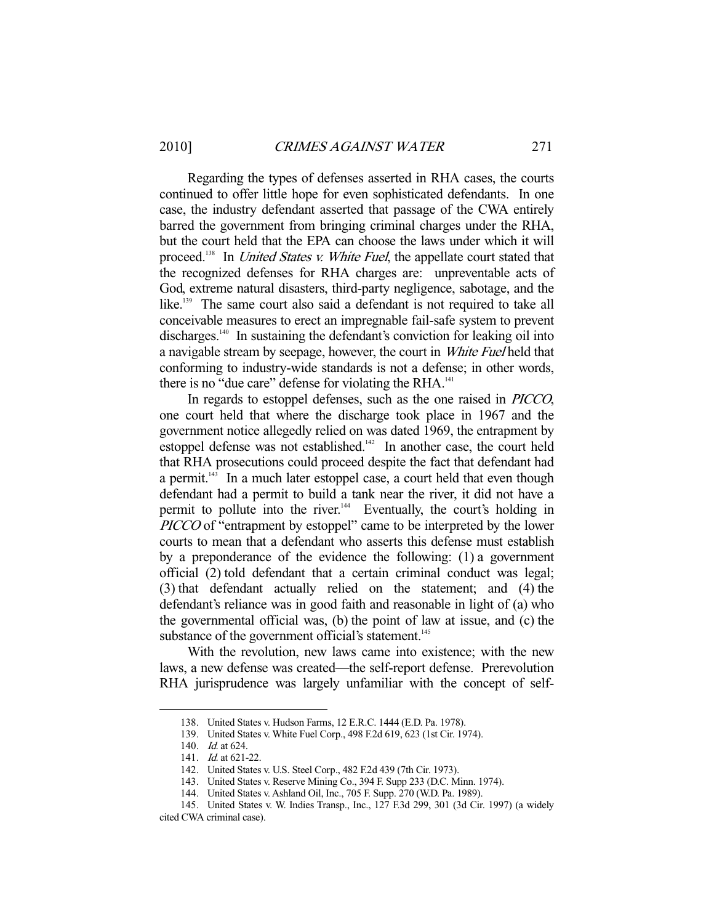Regarding the types of defenses asserted in RHA cases, the courts continued to offer little hope for even sophisticated defendants. In one case, the industry defendant asserted that passage of the CWA entirely barred the government from bringing criminal charges under the RHA, but the court held that the EPA can choose the laws under which it will proceed.<sup>138</sup> In *United States v. White Fuel*, the appellate court stated that the recognized defenses for RHA charges are: unpreventable acts of God, extreme natural disasters, third-party negligence, sabotage, and the like.<sup>139</sup> The same court also said a defendant is not required to take all conceivable measures to erect an impregnable fail-safe system to prevent discharges.<sup>140</sup> In sustaining the defendant's conviction for leaking oil into a navigable stream by seepage, however, the court in White Fuel held that conforming to industry-wide standards is not a defense; in other words, there is no "due care" defense for violating the  $RHA$ <sup>141</sup>

 In regards to estoppel defenses, such as the one raised in PICCO, one court held that where the discharge took place in 1967 and the government notice allegedly relied on was dated 1969, the entrapment by estoppel defense was not established. $142$  In another case, the court held that RHA prosecutions could proceed despite the fact that defendant had a permit. $143$  In a much later estoppel case, a court held that even though defendant had a permit to build a tank near the river, it did not have a permit to pollute into the river.<sup>144</sup> Eventually, the court's holding in PICCO of "entrapment by estoppel" came to be interpreted by the lower courts to mean that a defendant who asserts this defense must establish by a preponderance of the evidence the following: (1) a government official (2) told defendant that a certain criminal conduct was legal; (3) that defendant actually relied on the statement; and (4) the defendant's reliance was in good faith and reasonable in light of (a) who the governmental official was, (b) the point of law at issue, and (c) the substance of the government official's statement.<sup>145</sup>

 With the revolution, new laws came into existence; with the new laws, a new defense was created—the self-report defense. Prerevolution RHA jurisprudence was largely unfamiliar with the concept of self-

 <sup>138.</sup> United States v. Hudson Farms, 12 E.R.C. 1444 (E.D. Pa. 1978).

 <sup>139.</sup> United States v. White Fuel Corp., 498 F.2d 619, 623 (1st Cir. 1974).

 <sup>140.</sup> Id. at 624.

<sup>141.</sup> *Id.* at 621-22.

 <sup>142.</sup> United States v. U.S. Steel Corp., 482 F.2d 439 (7th Cir. 1973).

 <sup>143.</sup> United States v. Reserve Mining Co., 394 F. Supp 233 (D.C. Minn. 1974).

 <sup>144.</sup> United States v. Ashland Oil, Inc., 705 F. Supp. 270 (W.D. Pa. 1989).

 <sup>145.</sup> United States v. W. Indies Transp., Inc., 127 F.3d 299, 301 (3d Cir. 1997) (a widely cited CWA criminal case).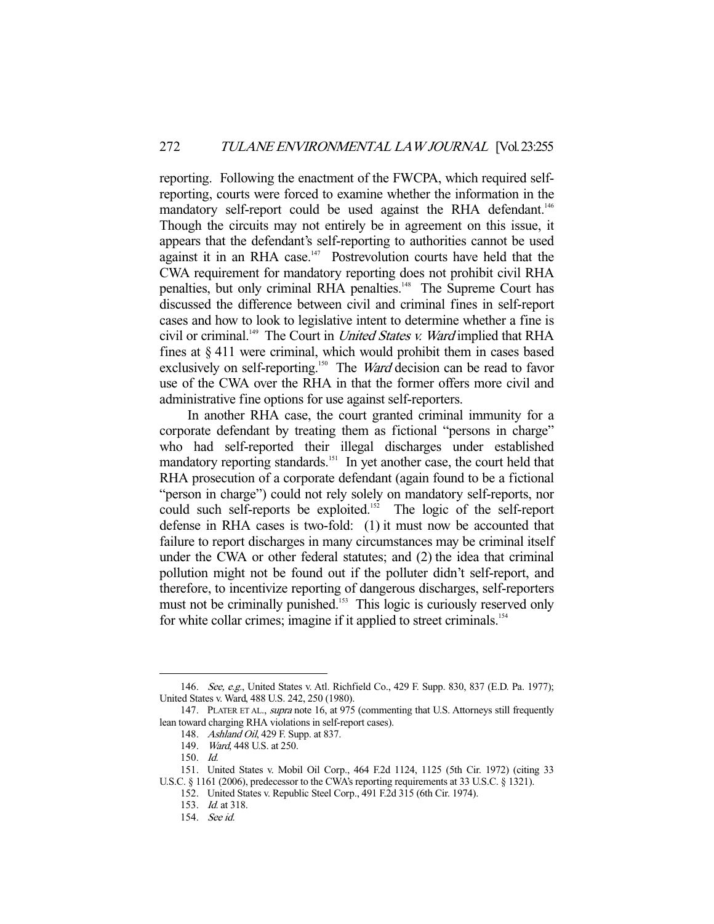reporting. Following the enactment of the FWCPA, which required selfreporting, courts were forced to examine whether the information in the mandatory self-report could be used against the RHA defendant.<sup>146</sup> Though the circuits may not entirely be in agreement on this issue, it appears that the defendant's self-reporting to authorities cannot be used against it in an RHA case.<sup>147</sup> Postrevolution courts have held that the CWA requirement for mandatory reporting does not prohibit civil RHA penalties, but only criminal RHA penalties.<sup>148</sup> The Supreme Court has discussed the difference between civil and criminal fines in self-report cases and how to look to legislative intent to determine whether a fine is civil or criminal.<sup>149</sup> The Court in *United States v. Ward* implied that RHA fines at § 411 were criminal, which would prohibit them in cases based exclusively on self-reporting.<sup>150</sup> The *Ward* decision can be read to favor use of the CWA over the RHA in that the former offers more civil and administrative fine options for use against self-reporters.

 In another RHA case, the court granted criminal immunity for a corporate defendant by treating them as fictional "persons in charge" who had self-reported their illegal discharges under established mandatory reporting standards.<sup>151</sup> In yet another case, the court held that RHA prosecution of a corporate defendant (again found to be a fictional "person in charge") could not rely solely on mandatory self-reports, nor could such self-reports be exploited.<sup>152</sup> The logic of the self-report defense in RHA cases is two-fold: (1) it must now be accounted that failure to report discharges in many circumstances may be criminal itself under the CWA or other federal statutes; and (2) the idea that criminal pollution might not be found out if the polluter didn't self-report, and therefore, to incentivize reporting of dangerous discharges, self-reporters must not be criminally punished.<sup>153</sup> This logic is curiously reserved only for white collar crimes; imagine if it applied to street criminals.<sup>154</sup>

-

152. United States v. Republic Steel Corp., 491 F.2d 315 (6th Cir. 1974).

<sup>146.</sup> See, e.g., United States v. Atl. Richfield Co., 429 F. Supp. 830, 837 (E.D. Pa. 1977); United States v. Ward, 488 U.S. 242, 250 (1980).

<sup>147.</sup> PLATER ET AL., supra note 16, at 975 (commenting that U.S. Attorneys still frequently lean toward charging RHA violations in self-report cases).

<sup>148.</sup> Ashland Oil, 429 F. Supp. at 837.

 <sup>149.</sup> Ward, 448 U.S. at 250.

 <sup>150.</sup> Id.

 <sup>151.</sup> United States v. Mobil Oil Corp., 464 F.2d 1124, 1125 (5th Cir. 1972) (citing 33 U.S.C. § 1161 (2006), predecessor to the CWA's reporting requirements at 33 U.S.C. § 1321).

 <sup>153.</sup> Id. at 318.

 <sup>154.</sup> See id.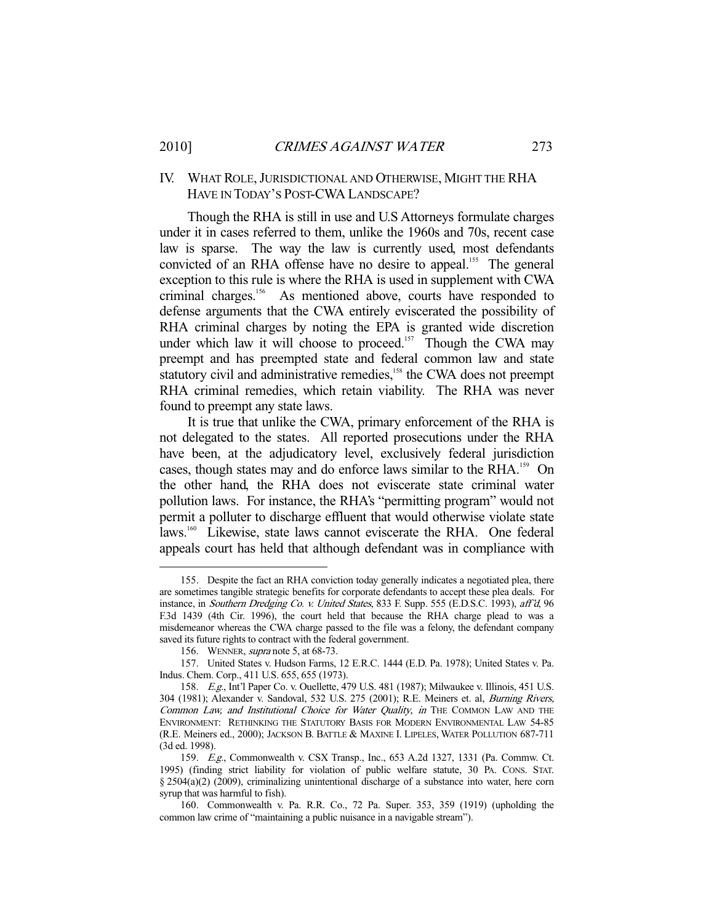### IV. WHAT ROLE,JURISDICTIONAL AND OTHERWISE, MIGHT THE RHA HAVE IN TODAY'S POST-CWA LANDSCAPE?

 Though the RHA is still in use and U.S Attorneys formulate charges under it in cases referred to them, unlike the 1960s and 70s, recent case law is sparse. The way the law is currently used, most defendants convicted of an RHA offense have no desire to appeal.<sup>155</sup> The general exception to this rule is where the RHA is used in supplement with CWA criminal charges.156 As mentioned above, courts have responded to defense arguments that the CWA entirely eviscerated the possibility of RHA criminal charges by noting the EPA is granted wide discretion under which law it will choose to proceed.<sup>157</sup> Though the CWA may preempt and has preempted state and federal common law and state statutory civil and administrative remedies,<sup>158</sup> the CWA does not preempt RHA criminal remedies, which retain viability. The RHA was never found to preempt any state laws.

 It is true that unlike the CWA, primary enforcement of the RHA is not delegated to the states. All reported prosecutions under the RHA have been, at the adjudicatory level, exclusively federal jurisdiction cases, though states may and do enforce laws similar to the RHA.<sup>159</sup> On the other hand, the RHA does not eviscerate state criminal water pollution laws. For instance, the RHA's "permitting program" would not permit a polluter to discharge effluent that would otherwise violate state laws.<sup>160</sup> Likewise, state laws cannot eviscerate the RHA. One federal appeals court has held that although defendant was in compliance with

 <sup>155.</sup> Despite the fact an RHA conviction today generally indicates a negotiated plea, there are sometimes tangible strategic benefits for corporate defendants to accept these plea deals. For instance, in Southern Dredging Co. v. United States, 833 F. Supp. 555 (E.D.S.C. 1993), aff'd, 96 F.3d 1439 (4th Cir. 1996), the court held that because the RHA charge plead to was a misdemeanor whereas the CWA charge passed to the file was a felony, the defendant company saved its future rights to contract with the federal government.

<sup>156.</sup> WENNER, *supra* note 5, at 68-73.

 <sup>157.</sup> United States v. Hudson Farms, 12 E.R.C. 1444 (E.D. Pa. 1978); United States v. Pa. Indus. Chem. Corp., 411 U.S. 655, 655 (1973).

 <sup>158.</sup> E.g., Int'l Paper Co. v. Ouellette, 479 U.S. 481 (1987); Milwaukee v. Illinois, 451 U.S. 304 (1981); Alexander v. Sandoval, 532 U.S. 275 (2001); R.E. Meiners et. al, Burning Rivers, Common Law, and Institutional Choice for Water Quality, in THE COMMON LAW AND THE ENVIRONMENT: RETHINKING THE STATUTORY BASIS FOR MODERN ENVIRONMENTAL LAW 54-85 (R.E. Meiners ed., 2000); JACKSON B. BATTLE & MAXINE I. LIPELES, WATER POLLUTION 687-711 (3d ed. 1998).

 <sup>159.</sup> E.g., Commonwealth v. CSX Transp., Inc., 653 A.2d 1327, 1331 (Pa. Commw. Ct. 1995) (finding strict liability for violation of public welfare statute, 30 PA. CONS. STAT. § 2504(a)(2) (2009), criminalizing unintentional discharge of a substance into water, here corn syrup that was harmful to fish).

 <sup>160.</sup> Commonwealth v. Pa. R.R. Co., 72 Pa. Super. 353, 359 (1919) (upholding the common law crime of "maintaining a public nuisance in a navigable stream").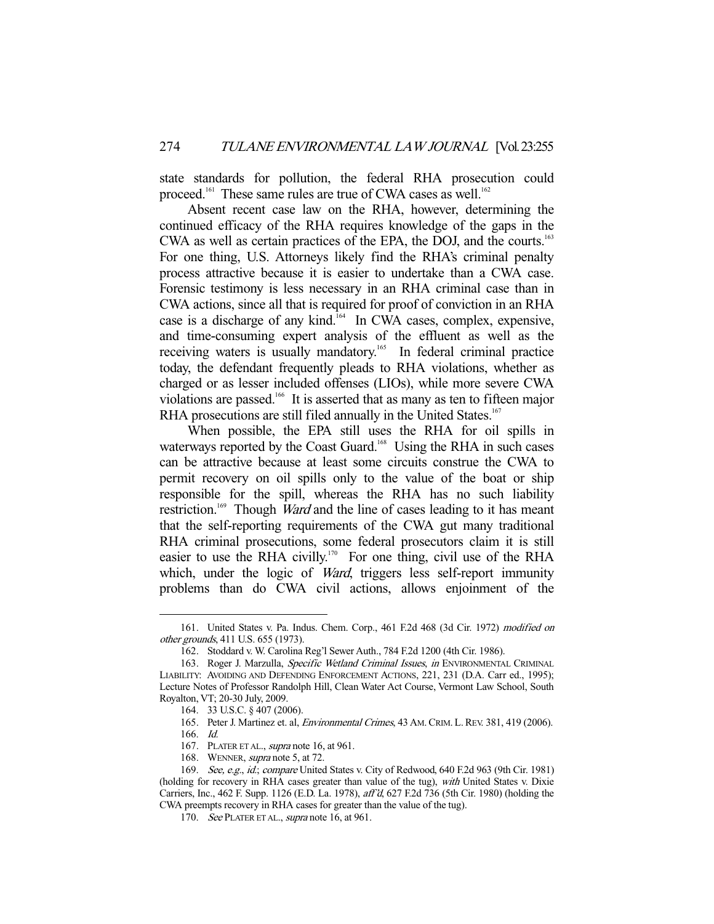state standards for pollution, the federal RHA prosecution could proceed.<sup>161</sup> These same rules are true of CWA cases as well.<sup>162</sup>

 Absent recent case law on the RHA, however, determining the continued efficacy of the RHA requires knowledge of the gaps in the CWA as well as certain practices of the EPA, the DOJ, and the courts.<sup>163</sup> For one thing, U.S. Attorneys likely find the RHA's criminal penalty process attractive because it is easier to undertake than a CWA case. Forensic testimony is less necessary in an RHA criminal case than in CWA actions, since all that is required for proof of conviction in an RHA case is a discharge of any kind.<sup>164</sup> In CWA cases, complex, expensive, and time-consuming expert analysis of the effluent as well as the receiving waters is usually mandatory.<sup>165</sup> In federal criminal practice today, the defendant frequently pleads to RHA violations, whether as charged or as lesser included offenses (LIOs), while more severe CWA violations are passed.166 It is asserted that as many as ten to fifteen major RHA prosecutions are still filed annually in the United States.<sup>167</sup>

 When possible, the EPA still uses the RHA for oil spills in waterways reported by the Coast Guard.<sup>168</sup> Using the RHA in such cases can be attractive because at least some circuits construe the CWA to permit recovery on oil spills only to the value of the boat or ship responsible for the spill, whereas the RHA has no such liability restriction.<sup>169</sup> Though *Ward* and the line of cases leading to it has meant that the self-reporting requirements of the CWA gut many traditional RHA criminal prosecutions, some federal prosecutors claim it is still easier to use the RHA civilly.<sup>170</sup> For one thing, civil use of the RHA which, under the logic of *Ward*, triggers less self-report immunity problems than do CWA civil actions, allows enjoinment of the

 <sup>161.</sup> United States v. Pa. Indus. Chem. Corp., 461 F.2d 468 (3d Cir. 1972) modified on other grounds, 411 U.S. 655 (1973).

 <sup>162.</sup> Stoddard v. W. Carolina Reg'l Sewer Auth., 784 F.2d 1200 (4th Cir. 1986).

<sup>163.</sup> Roger J. Marzulla, Specific Wetland Criminal Issues, in ENVIRONMENTAL CRIMINAL LIABILITY: AVOIDING AND DEFENDING ENFORCEMENT ACTIONS, 221, 231 (D.A. Carr ed., 1995); Lecture Notes of Professor Randolph Hill, Clean Water Act Course, Vermont Law School, South Royalton, VT; 20-30 July, 2009.

 <sup>164. 33</sup> U.S.C. § 407 (2006).

<sup>165.</sup> Peter J. Martinez et. al, *Environmental Crimes*, 43 AM. CRIM. L. REV. 381, 419 (2006).

 <sup>166.</sup> Id.

<sup>167.</sup> PLATER ET AL., *supra* note 16, at 961.

 <sup>168.</sup> WENNER, supra note 5, at 72.

<sup>169.</sup> See, e.g., id.; compare United States v. City of Redwood, 640 F.2d 963 (9th Cir. 1981) (holding for recovery in RHA cases greater than value of the tug), with United States v. Dixie Carriers, Inc., 462 F. Supp. 1126 (E.D. La. 1978), aff'd, 627 F.2d 736 (5th Cir. 1980) (holding the CWA preempts recovery in RHA cases for greater than the value of the tug).

<sup>170.</sup> See PLATER ET AL., supra note 16, at 961.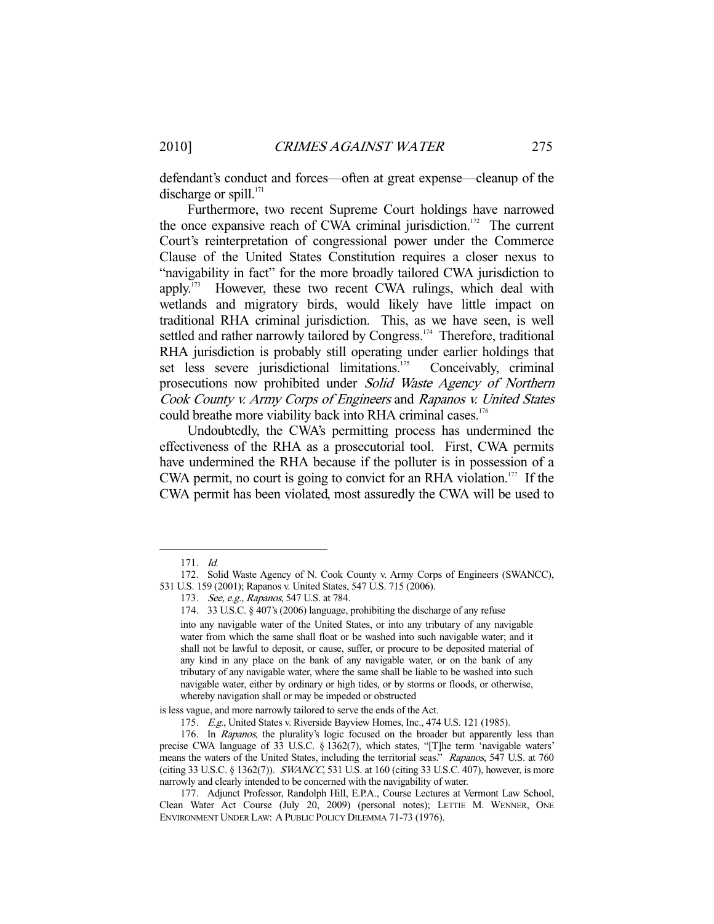defendant's conduct and forces—often at great expense—cleanup of the discharge or spill. $171$ 

 Furthermore, two recent Supreme Court holdings have narrowed the once expansive reach of CWA criminal jurisdiction.<sup>172</sup> The current Court's reinterpretation of congressional power under the Commerce Clause of the United States Constitution requires a closer nexus to "navigability in fact" for the more broadly tailored CWA jurisdiction to apply.173 However, these two recent CWA rulings, which deal with wetlands and migratory birds, would likely have little impact on traditional RHA criminal jurisdiction. This, as we have seen, is well settled and rather narrowly tailored by Congress.<sup>174</sup> Therefore, traditional RHA jurisdiction is probably still operating under earlier holdings that set less severe jurisdictional limitations.<sup>175</sup> Conceivably, criminal prosecutions now prohibited under Solid Waste Agency of Northern Cook County v. Army Corps of Engineers and Rapanos v. United States could breathe more viability back into RHA criminal cases.<sup>176</sup>

 Undoubtedly, the CWA's permitting process has undermined the effectiveness of the RHA as a prosecutorial tool. First, CWA permits have undermined the RHA because if the polluter is in possession of a CWA permit, no court is going to convict for an RHA violation.<sup>177</sup> If the CWA permit has been violated, most assuredly the CWA will be used to

 <sup>171.</sup> Id.

 <sup>172.</sup> Solid Waste Agency of N. Cook County v. Army Corps of Engineers (SWANCC), 531 U.S. 159 (2001); Rapanos v. United States, 547 U.S. 715 (2006).

<sup>173.</sup> See, e.g., Rapanos, 547 U.S. at 784.

 <sup>174. 33</sup> U.S.C. § 407's (2006) language, prohibiting the discharge of any refuse

into any navigable water of the United States, or into any tributary of any navigable water from which the same shall float or be washed into such navigable water; and it shall not be lawful to deposit, or cause, suffer, or procure to be deposited material of any kind in any place on the bank of any navigable water, or on the bank of any tributary of any navigable water, where the same shall be liable to be washed into such navigable water, either by ordinary or high tides, or by storms or floods, or otherwise, whereby navigation shall or may be impeded or obstructed

is less vague, and more narrowly tailored to serve the ends of the Act.

 <sup>175.</sup> E.g., United States v. Riverside Bayview Homes, Inc., 474 U.S. 121 (1985).

<sup>176.</sup> In Rapanos, the plurality's logic focused on the broader but apparently less than precise CWA language of 33 U.S.C. § 1362(7), which states, "[T]he term 'navigable waters' means the waters of the United States, including the territorial seas." Rapanos, 547 U.S. at 760 (citing 33 U.S.C. § 1362(7)). SWANCC, 531 U.S. at 160 (citing 33 U.S.C. 407), however, is more narrowly and clearly intended to be concerned with the navigability of water.

 <sup>177.</sup> Adjunct Professor, Randolph Hill, E.P.A., Course Lectures at Vermont Law School, Clean Water Act Course (July 20, 2009) (personal notes); LETTIE M. WENNER, ONE ENVIRONMENT UNDER LAW: A PUBLIC POLICY DILEMMA 71-73 (1976).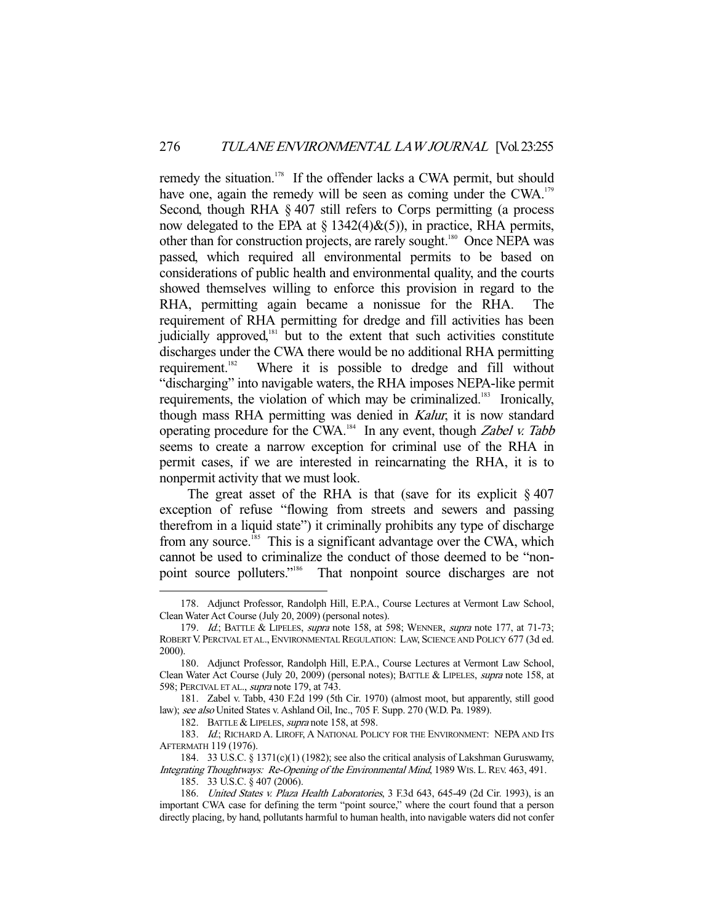remedy the situation.<sup>178</sup> If the offender lacks a CWA permit, but should have one, again the remedy will be seen as coming under the CWA.<sup>179</sup> Second, though RHA § 407 still refers to Corps permitting (a process now delegated to the EPA at  $\S$  1342(4) $\&(5)$ ), in practice, RHA permits, other than for construction projects, are rarely sought.<sup>180</sup> Once NEPA was passed, which required all environmental permits to be based on considerations of public health and environmental quality, and the courts showed themselves willing to enforce this provision in regard to the RHA, permitting again became a nonissue for the RHA. The requirement of RHA permitting for dredge and fill activities has been judicially approved,<sup>181</sup> but to the extent that such activities constitute discharges under the CWA there would be no additional RHA permitting requirement.<sup>182</sup> Where it is possible to dredge and fill without "discharging" into navigable waters, the RHA imposes NEPA-like permit requirements, the violation of which may be criminalized.<sup>183</sup> Ironically, though mass RHA permitting was denied in Kalur, it is now standard operating procedure for the CWA.<sup>184</sup> In any event, though *Zabel v. Tabb* seems to create a narrow exception for criminal use of the RHA in permit cases, if we are interested in reincarnating the RHA, it is to nonpermit activity that we must look.

The great asset of the RHA is that (save for its explicit  $\S 407$ exception of refuse "flowing from streets and sewers and passing therefrom in a liquid state") it criminally prohibits any type of discharge from any source.<sup>185</sup> This is a significant advantage over the CWA, which cannot be used to criminalize the conduct of those deemed to be "nonpoint source polluters."<sup>186</sup> That nonpoint source discharges are not

182. BATTLE & LIPELES, *supra* note 158, at 598.

 <sup>178.</sup> Adjunct Professor, Randolph Hill, E.P.A., Course Lectures at Vermont Law School, Clean Water Act Course (July 20, 2009) (personal notes).

<sup>179.</sup> Id.; BATTLE & LIPELES, supra note 158, at 598; WENNER, supra note 177, at 71-73; ROBERT V. PERCIVAL ET AL., ENVIRONMENTAL REGULATION: LAW, SCIENCE AND POLICY 677 (3d ed. 2000).

 <sup>180.</sup> Adjunct Professor, Randolph Hill, E.P.A., Course Lectures at Vermont Law School, Clean Water Act Course (July 20, 2009) (personal notes); BATTLE & LIPELES, supra note 158, at 598; PERCIVAL ET AL., supra note 179, at 743.

 <sup>181.</sup> Zabel v. Tabb, 430 F.2d 199 (5th Cir. 1970) (almost moot, but apparently, still good law); see also United States v. Ashland Oil, Inc., 705 F. Supp. 270 (W.D. Pa. 1989).

<sup>183.</sup> Id.; RICHARD A. LIROFF, A NATIONAL POLICY FOR THE ENVIRONMENT: NEPA AND ITS AFTERMATH 119 (1976).

 <sup>184. 33</sup> U.S.C. § 1371(c)(1) (1982); see also the critical analysis of Lakshman Guruswamy, Integrating Thoughtways: Re-Opening of the Environmental Mind, 1989 WIS. L.REV. 463, 491. 185. 33 U.S.C. § 407 (2006).

 <sup>186.</sup> United States v. Plaza Health Laboratories, 3 F.3d 643, 645-49 (2d Cir. 1993), is an important CWA case for defining the term "point source," where the court found that a person directly placing, by hand, pollutants harmful to human health, into navigable waters did not confer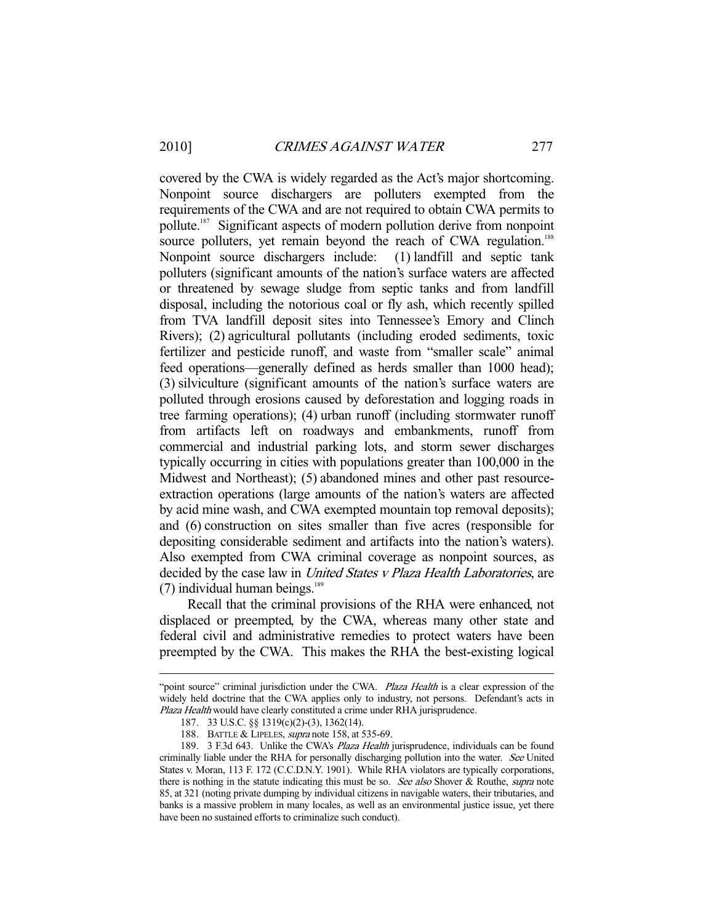covered by the CWA is widely regarded as the Act's major shortcoming. Nonpoint source dischargers are polluters exempted from the requirements of the CWA and are not required to obtain CWA permits to pollute.187 Significant aspects of modern pollution derive from nonpoint source polluters, yet remain beyond the reach of CWA regulation.<sup>188</sup> Nonpoint source dischargers include: (1) landfill and septic tank polluters (significant amounts of the nation's surface waters are affected or threatened by sewage sludge from septic tanks and from landfill disposal, including the notorious coal or fly ash, which recently spilled from TVA landfill deposit sites into Tennessee's Emory and Clinch Rivers); (2) agricultural pollutants (including eroded sediments, toxic fertilizer and pesticide runoff, and waste from "smaller scale" animal feed operations—generally defined as herds smaller than 1000 head); (3) silviculture (significant amounts of the nation's surface waters are polluted through erosions caused by deforestation and logging roads in tree farming operations); (4) urban runoff (including stormwater runoff from artifacts left on roadways and embankments, runoff from commercial and industrial parking lots, and storm sewer discharges typically occurring in cities with populations greater than 100,000 in the Midwest and Northeast); (5) abandoned mines and other past resourceextraction operations (large amounts of the nation's waters are affected by acid mine wash, and CWA exempted mountain top removal deposits); and (6) construction on sites smaller than five acres (responsible for depositing considerable sediment and artifacts into the nation's waters). Also exempted from CWA criminal coverage as nonpoint sources, as decided by the case law in *United States v Plaza Health Laboratories*, are  $(7)$  individual human beings.<sup>189</sup>

 Recall that the criminal provisions of the RHA were enhanced, not displaced or preempted, by the CWA, whereas many other state and federal civil and administrative remedies to protect waters have been preempted by the CWA. This makes the RHA the best-existing logical

<sup>&</sup>quot;point source" criminal jurisdiction under the CWA. Plaza Health is a clear expression of the widely held doctrine that the CWA applies only to industry, not persons. Defendant's acts in Plaza Health would have clearly constituted a crime under RHA jurisprudence.

 <sup>187. 33</sup> U.S.C. §§ 1319(c)(2)-(3), 1362(14).

<sup>188.</sup> BATTLE & LIPELES, *supra* note 158, at 535-69.

<sup>189. 3</sup> F.3d 643. Unlike the CWA's Plaza Health jurisprudence, individuals can be found criminally liable under the RHA for personally discharging pollution into the water. See United States v. Moran, 113 F. 172 (C.C.D.N.Y. 1901). While RHA violators are typically corporations, there is nothing in the statute indicating this must be so. See also Shover & Routhe, supra note 85, at 321 (noting private dumping by individual citizens in navigable waters, their tributaries, and banks is a massive problem in many locales, as well as an environmental justice issue, yet there have been no sustained efforts to criminalize such conduct).